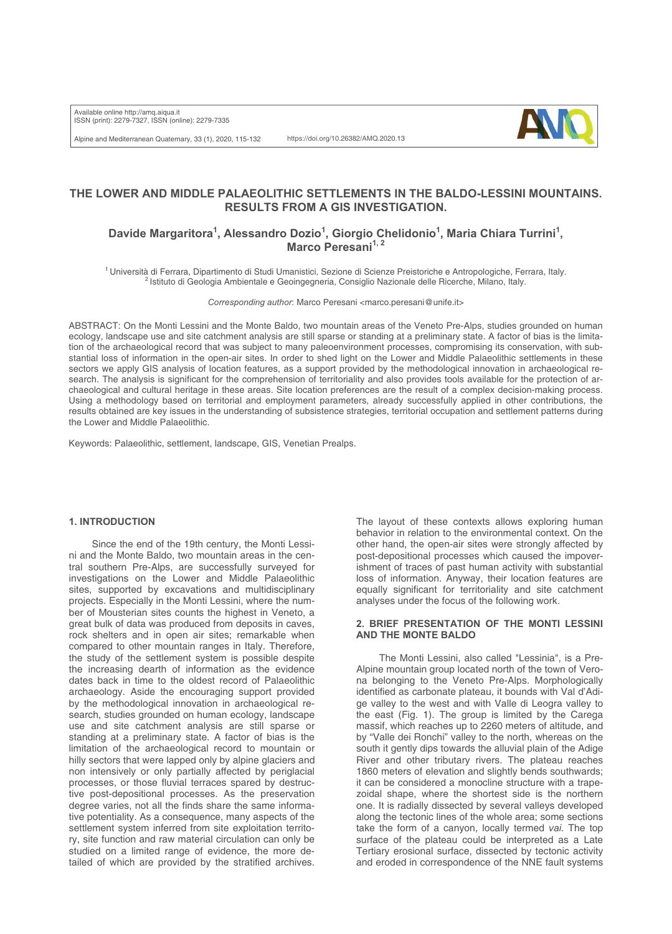Available online http://amq.aiqua.it ISSN (print): 2279-7327, ISSN (online): 2279-7335

Alpine and Mediterranean Quaternary, 33 (1), 2020, 115-132

https://doi.org/10.26382/AMQ.2020.13



# **THE LOWER AND MIDDLE PALAEOLITHIC SETTLEMENTS IN THE BALDO-LESSINI MOUNTAINS. RESULTS FROM A GIS INVESTIGATION.**

# Davide Margaritora<sup>1</sup>, Alessandro Dozio<sup>1</sup>, Giorgio Chelidonio<sup>1</sup>, Maria Chiara Turrini<sup>1</sup>, Marco Peresani<sup>1, 2</sup>

<sup>1</sup> Università di Ferrara, Dipartimento di Studi Umanistici, Sezione di Scienze Preistoriche e Antropologiche, Ferrara, Italy.<br><sup>2</sup> Istituto di Geologia Ambientale e Geoingegneria, Consiglio Nazionale delle Ricerche, Milano

*Corresponding author*: Marco Peresani <marco.peresani@unife.it>

ABSTRACT: On the Monti Lessini and the Monte Baldo, two mountain areas of the Veneto Pre-Alps, studies grounded on human ecology, landscape use and site catchment analysis are still sparse or standing at a preliminary state. A factor of bias is the limitation of the archaeological record that was subject to many paleoenvironment processes, compromising its conservation, with substantial loss of information in the open-air sites. In order to shed light on the Lower and Middle Palaeolithic settlements in these sectors we apply GIS analysis of location features, as a support provided by the methodological innovation in archaeological research. The analysis is significant for the comprehension of territoriality and also provides tools available for the protection of archaeological and cultural heritage in these areas. Site location preferences are the result of a complex decision-making process. Using a methodology based on territorial and employment parameters, already successfully applied in other contributions, the results obtained are key issues in the understanding of subsistence strategies, territorial occupation and settlement patterns during the Lower and Middle Palaeolithic.

Keywords: Palaeolithic, settlement, landscape, GIS, Venetian Prealps.

## **1. INTRODUCTION**

Since the end of the 19th century, the Monti Lessini and the Monte Baldo, two mountain areas in the central southern Pre-Alps, are successfully surveyed for investigations on the Lower and Middle Palaeolithic sites, supported by excavations and multidisciplinary projects. Especially in the Monti Lessini, where the number of Mousterian sites counts the highest in Veneto, a great bulk of data was produced from deposits in caves, rock shelters and in open air sites; remarkable when compared to other mountain ranges in Italy. Therefore, the study of the settlement system is possible despite the increasing dearth of information as the evidence dates back in time to the oldest record of Palaeolithic archaeology. Aside the encouraging support provided by the methodological innovation in archaeological research, studies grounded on human ecology, landscape use and site catchment analysis are still sparse or standing at a preliminary state. A factor of bias is the limitation of the archaeological record to mountain or hilly sectors that were lapped only by alpine glaciers and non intensively or only partially affected by periglacial processes, or those fluvial terraces spared by destructive post-depositional processes. As the preservation degree varies, not all the finds share the same informative potentiality. As a consequence, many aspects of the settlement system inferred from site exploitation territory, site function and raw material circulation can only be studied on a limited range of evidence, the more detailed of which are provided by the stratified archives.

The layout of these contexts allows exploring human behavior in relation to the environmental context. On the other hand, the open-air sites were strongly affected by post-depositional processes which caused the impoverishment of traces of past human activity with substantial loss of information. Anyway, their location features are equally significant for territoriality and site catchment analyses under the focus of the following work.

### **2. BRIEF PRESENTATION OF THE MONTI LESSINI AND THE MONTE BALDO**

The Monti Lessini, also called "Lessinia", is a Pre-Alpine mountain group located north of the town of Verona belonging to the Veneto Pre-Alps. Morphologically identified as carbonate plateau, it bounds with Val d'Adige valley to the west and with Valle di Leogra valley to the east (Fig. 1). The group is limited by the Carega massif, which reaches up to 2260 meters of altitude, and by "Valle dei Ronchi" valley to the north, whereas on the south it gently dips towards the alluvial plain of the Adige River and other tributary rivers. The plateau reaches 1860 meters of elevation and slightly bends southwards; it can be considered a monocline structure with a trapezoidal shape, where the shortest side is the northern one. It is radially dissected by several valleys developed along the tectonic lines of the whole area; some sections take the form of a canyon, locally termed *vai*. The top surface of the plateau could be interpreted as a Late Tertiary erosional surface, dissected by tectonic activity and eroded in correspondence of the NNE fault systems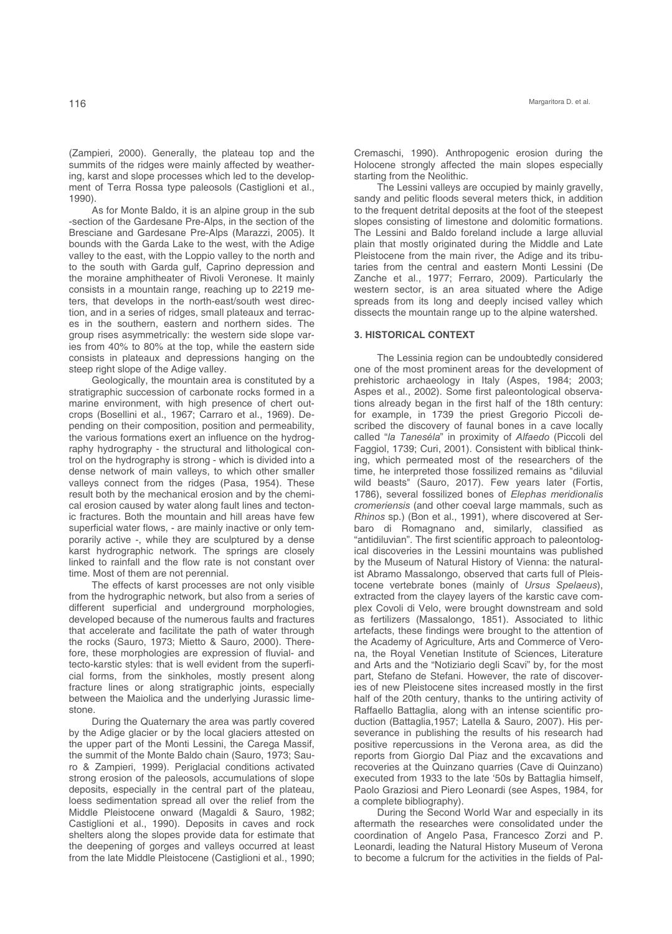(Zampieri, 2000). Generally, the plateau top and the summits of the ridges were mainly affected by weathering, karst and slope processes which led to the development of Terra Rossa type paleosols (Castiglioni et al., 1990).

As for Monte Baldo, it is an alpine group in the sub -section of the Gardesane Pre-Alps, in the section of the Bresciane and Gardesane Pre-Alps (Marazzi, 2005). It bounds with the Garda Lake to the west, with the Adige valley to the east, with the Loppio valley to the north and to the south with Garda gulf, Caprino depression and the moraine amphitheater of Rivoli Veronese. It mainly consists in a mountain range, reaching up to 2219 meters, that develops in the north-east/south west direction, and in a series of ridges, small plateaux and terraces in the southern, eastern and northern sides. The group rises asymmetrically: the western side slope varies from 40% to 80% at the top, while the eastern side consists in plateaux and depressions hanging on the steep right slope of the Adige valley.

Geologically, the mountain area is constituted by a stratigraphic succession of carbonate rocks formed in a marine environment, with high presence of chert outcrops (Bosellini et al., 1967; Carraro et al., 1969). Depending on their composition, position and permeability, the various formations exert an influence on the hydrography hydrography - the structural and lithological control on the hydrography is strong - which is divided into a dense network of main valleys, to which other smaller valleys connect from the ridges (Pasa, 1954). These result both by the mechanical erosion and by the chemical erosion caused by water along fault lines and tectonic fractures. Both the mountain and hill areas have few superficial water flows, - are mainly inactive or only temporarily active -, while they are sculptured by a dense karst hydrographic network. The springs are closely linked to rainfall and the flow rate is not constant over time. Most of them are not perennial.

The effects of karst processes are not only visible from the hydrographic network, but also from a series of different superficial and underground morphologies, developed because of the numerous faults and fractures that accelerate and facilitate the path of water through the rocks (Sauro, 1973; Mietto & Sauro, 2000). Therefore, these morphologies are expression of fluvial- and tecto-karstic styles: that is well evident from the superficial forms, from the sinkholes, mostly present along fracture lines or along stratigraphic joints, especially between the Maiolica and the underlying Jurassic limestone.

During the Quaternary the area was partly covered by the Adige glacier or by the local glaciers attested on the upper part of the Monti Lessini, the Carega Massif, the summit of the Monte Baldo chain (Sauro, 1973; Sauro & Zampieri, 1999). Periglacial conditions activated strong erosion of the paleosols, accumulations of slope deposits, especially in the central part of the plateau, loess sedimentation spread all over the relief from the Middle Pleistocene onward (Magaldi & Sauro, 1982; Castiglioni et al., 1990). Deposits in caves and rock shelters along the slopes provide data for estimate that the deepening of gorges and valleys occurred at least from the late Middle Pleistocene (Castiglioni et al., 1990;

Cremaschi, 1990). Anthropogenic erosion during the Holocene strongly affected the main slopes especially starting from the Neolithic.

The Lessini valleys are occupied by mainly gravelly, sandy and pelitic floods several meters thick, in addition to the frequent detrital deposits at the foot of the steepest slopes consisting of limestone and dolomitic formations. The Lessini and Baldo foreland include a large alluvial plain that mostly originated during the Middle and Late Pleistocene from the main river, the Adige and its tributaries from the central and eastern Monti Lessini (De Zanche et al., 1977; Ferraro, 2009). Particularly the western sector, is an area situated where the Adige spreads from its long and deeply incised valley which dissects the mountain range up to the alpine watershed.

### **3. HISTORICAL CONTEXT**

The Lessinia region can be undoubtedly considered one of the most prominent areas for the development of prehistoric archaeology in Italy (Aspes, 1984; 2003; Aspes et al., 2002). Some first paleontological observations already began in the first half of the 18th century: for example, in 1739 the priest Gregorio Piccoli described the discovery of faunal bones in a cave locally called "*la Taneséla*" in proximity of *Alfaedo* (Piccoli del Faggiol, 1739; Curi, 2001). Consistent with biblical thinking, which permeated most of the researchers of the time, he interpreted those fossilized remains as "diluvial wild beasts" (Sauro, 2017). Few years later (Fortis, 1786), several fossilized bones of *Elephas meridionalis cromeriensis* (and other coeval large mammals, such as *Rhinos* sp.) (Bon et al., 1991), where discovered at Serbaro di Romagnano and, similarly, classified as "antidiluvian". The first scientific approach to paleontological discoveries in the Lessini mountains was published by the Museum of Natural History of Vienna: the naturalist Abramo Massalongo, observed that carts full of Pleistocene vertebrate bones (mainly of *Ursus Spelaeus*), extracted from the clayey layers of the karstic cave complex Covoli di Velo, were brought downstream and sold as fertilizers (Massalongo, 1851). Associated to lithic artefacts, these findings were brought to the attention of the Academy of Agriculture, Arts and Commerce of Verona, the Royal Venetian Institute of Sciences, Literature and Arts and the "Notiziario degli Scavi" by, for the most part, Stefano de Stefani. However, the rate of discoveries of new Pleistocene sites increased mostly in the first half of the 20th century, thanks to the untiring activity of Raffaello Battaglia, along with an intense scientific production (Battaglia,1957; Latella & Sauro, 2007). His perseverance in publishing the results of his research had positive repercussions in the Verona area, as did the reports from Giorgio Dal Piaz and the excavations and recoveries at the Quinzano quarries (Cave di Quinzano) executed from 1933 to the late '50s by Battaglia himself, Paolo Graziosi and Piero Leonardi (see Aspes, 1984, for a complete bibliography).

During the Second World War and especially in its aftermath the researches were consolidated under the coordination of Angelo Pasa, Francesco Zorzi and P. Leonardi, leading the Natural History Museum of Verona to become a fulcrum for the activities in the fields of Pal-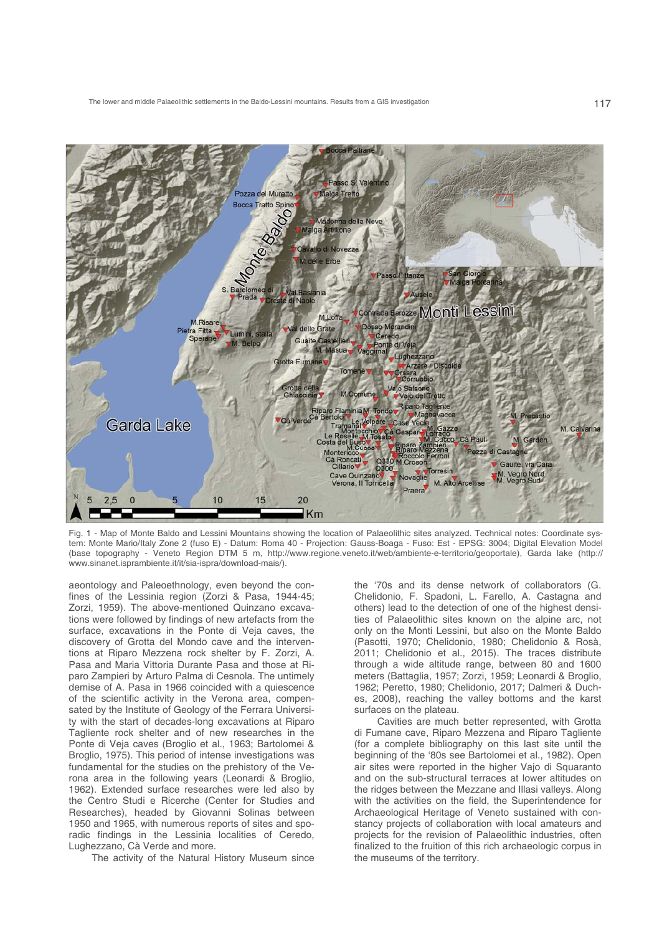

Fig. 1 - Map of Monte Baldo and Lessini Mountains showing the location of Palaeolithic sites analyzed. Technical notes: Coordinate system: Monte Mario/Italy Zone 2 (fuso E) - Datum: Roma 40 - Projection: Gauss-Boaga - Fuso: Est - EPSG: 3004; Digital Elevation Model (base topography - Veneto Region DTM 5 m, http://www.regione.veneto.it/web/ambiente-e-territorio/geoportale), Garda lake (http:// www.sinanet.isprambiente.it/it/sia-ispra/download-mais/).

aeontology and Paleoethnology, even beyond the confines of the Lessinia region (Zorzi & Pasa, 1944-45; Zorzi, 1959). The above-mentioned Quinzano excavations were followed by findings of new artefacts from the surface, excavations in the Ponte di Veja caves, the discovery of Grotta del Mondo cave and the interventions at Riparo Mezzena rock shelter by F. Zorzi, A. Pasa and Maria Vittoria Durante Pasa and those at Riparo Zampieri by Arturo Palma di Cesnola. The untimely demise of A. Pasa in 1966 coincided with a quiescence of the scientific activity in the Verona area, compensated by the Institute of Geology of the Ferrara University with the start of decades-long excavations at Riparo Tagliente rock shelter and of new researches in the Ponte di Veja caves (Broglio et al., 1963; Bartolomei & Broglio, 1975). This period of intense investigations was fundamental for the studies on the prehistory of the Verona area in the following years (Leonardi & Broglio, 1962). Extended surface researches were led also by the Centro Studi e Ricerche (Center for Studies and Researches), headed by Giovanni Solinas between 1950 and 1965, with numerous reports of sites and sporadic findings in the Lessinia localities of Ceredo, Lughezzano, Cà Verde and more.

The activity of the Natural History Museum since

the '70s and its dense network of collaborators (G. Chelidonio, F. Spadoni, L. Farello, A. Castagna and others) lead to the detection of one of the highest densities of Palaeolithic sites known on the alpine arc, not only on the Monti Lessini, but also on the Monte Baldo (Pasotti, 1970; Chelidonio, 1980; Chelidonio & Rosà, 2011; Chelidonio et al., 2015). The traces distribute through a wide altitude range, between 80 and 1600 meters (Battaglia, 1957; Zorzi, 1959; Leonardi & Broglio, 1962; Peretto, 1980; Chelidonio, 2017; Dalmeri & Duches, 2008), reaching the valley bottoms and the karst surfaces on the plateau.

Cavities are much better represented, with Grotta di Fumane cave, Riparo Mezzena and Riparo Tagliente (for a complete bibliography on this last site until the beginning of the '80s see Bartolomei et al., 1982). Open air sites were reported in the higher Vajo di Squaranto and on the sub-structural terraces at lower altitudes on the ridges between the Mezzane and Illasi valleys. Along with the activities on the field, the Superintendence for Archaeological Heritage of Veneto sustained with constancy projects of collaboration with local amateurs and projects for the revision of Palaeolithic industries, often finalized to the fruition of this rich archaeologic corpus in the museums of the territory.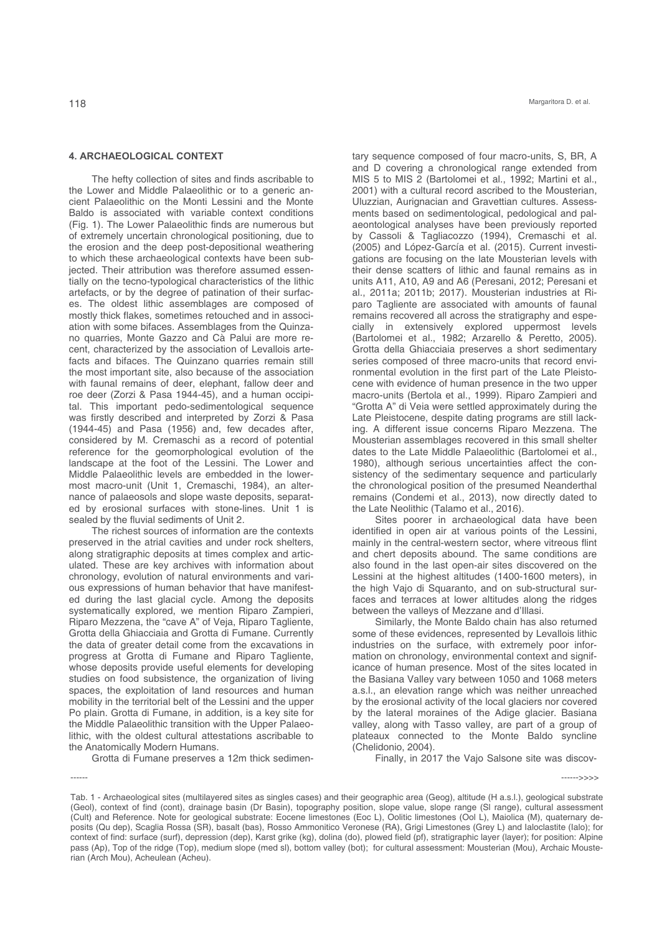The hefty collection of sites and finds ascribable to the Lower and Middle Palaeolithic or to a generic ancient Palaeolithic on the Monti Lessini and the Monte Baldo is associated with variable context conditions (Fig. 1). The Lower Palaeolithic finds are numerous but of extremely uncertain chronological positioning, due to the erosion and the deep post-depositional weathering to which these archaeological contexts have been subjected. Their attribution was therefore assumed essentially on the tecno-typological characteristics of the lithic artefacts, or by the degree of patination of their surfaces. The oldest lithic assemblages are composed of mostly thick flakes, sometimes retouched and in association with some bifaces. Assemblages from the Quinzano quarries, Monte Gazzo and Cà Palui are more recent, characterized by the association of Levallois artefacts and bifaces. The Quinzano quarries remain still the most important site, also because of the association with faunal remains of deer, elephant, fallow deer and roe deer (Zorzi & Pasa 1944-45), and a human occipital. This important pedo-sedimentological sequence was firstly described and interpreted by Zorzi & Pasa (1944-45) and Pasa (1956) and, few decades after, considered by M. Cremaschi as a record of potential reference for the geomorphological evolution of the landscape at the foot of the Lessini. The Lower and Middle Palaeolithic levels are embedded in the lowermost macro-unit (Unit 1, Cremaschi, 1984), an alternance of palaeosols and slope waste deposits, separated by erosional surfaces with stone-lines. Unit 1 is sealed by the fluvial sediments of Unit 2.

The richest sources of information are the contexts preserved in the atrial cavities and under rock shelters, along stratigraphic deposits at times complex and articulated. These are key archives with information about chronology, evolution of natural environments and various expressions of human behavior that have manifested during the last glacial cycle. Among the deposits systematically explored, we mention Riparo Zampieri, Riparo Mezzena, the "cave A" of Veja, Riparo Tagliente, Grotta della Ghiacciaia and Grotta di Fumane. Currently the data of greater detail come from the excavations in progress at Grotta di Fumane and Riparo Tagliente, whose deposits provide useful elements for developing studies on food subsistence, the organization of living spaces, the exploitation of land resources and human mobility in the territorial belt of the Lessini and the upper Po plain. Grotta di Fumane, in addition, is a key site for the Middle Palaeolithic transition with the Upper Palaeolithic, with the oldest cultural attestations ascribable to the Anatomically Modern Humans.

Grotta di Fumane preserves a 12m thick sedimen-

tary sequence composed of four macro-units, S, BR, A and D covering a chronological range extended from MIS 5 to MIS 2 (Bartolomei et al., 1992; Martini et al., 2001) with a cultural record ascribed to the Mousterian, Uluzzian, Aurignacian and Gravettian cultures. Assessments based on sedimentological, pedological and palaeontological analyses have been previously reported by Cassoli & Tagliacozzo (1994), Cremaschi et al. (2005) and López-García et al. (2015). Current investigations are focusing on the late Mousterian levels with their dense scatters of lithic and faunal remains as in units A11, A10, A9 and A6 (Peresani, 2012; Peresani et al., 2011a; 2011b; 2017). Mousterian industries at Riparo Tagliente are associated with amounts of faunal remains recovered all across the stratigraphy and especially in extensively explored uppermost levels (Bartolomei et al., 1982; Arzarello & Peretto, 2005). Grotta della Ghiacciaia preserves a short sedimentary series composed of three macro-units that record environmental evolution in the first part of the Late Pleistocene with evidence of human presence in the two upper macro-units (Bertola et al., 1999). Riparo Zampieri and "Grotta A" di Veia were settled approximately during the Late Pleistocene, despite dating programs are still lacking. A different issue concerns Riparo Mezzena. The Mousterian assemblages recovered in this small shelter dates to the Late Middle Palaeolithic (Bartolomei et al., 1980), although serious uncertainties affect the consistency of the sedimentary sequence and particularly the chronological position of the presumed Neanderthal remains (Condemi et al., 2013), now directly dated to the Late Neolithic (Talamo et al., 2016).

Sites poorer in archaeological data have been identified in open air at various points of the Lessini, mainly in the central-western sector, where vitreous flint and chert deposits abound. The same conditions are also found in the last open-air sites discovered on the Lessini at the highest altitudes (1400-1600 meters), in the high Vajo di Squaranto, and on sub-structural surfaces and terraces at lower altitudes along the ridges between the valleys of Mezzane and d'Illasi.

Similarly, the Monte Baldo chain has also returned some of these evidences, represented by Levallois lithic industries on the surface, with extremely poor information on chronology, environmental context and significance of human presence. Most of the sites located in the Basiana Valley vary between 1050 and 1068 meters a.s.l., an elevation range which was neither unreached by the erosional activity of the local glaciers nor covered by the lateral moraines of the Adige glacier. Basiana valley, along with Tasso valley, are part of a group of plateaux connected to the Monte Baldo syncline (Chelidonio, 2004).

Finally, in 2017 the Vajo Salsone site was discov-

------ ------>>>>

Tab. 1 - Archaeological sites (multilayered sites as singles cases) and their geographic area (Geog), altitude (H a.s.l.), geological substrate (Geol), context of find (cont), drainage basin (Dr Basin), topography position, slope value, slope range (Sl range), cultural assessment (Cult) and Reference. Note for geological substrate: Eocene limestones (Eoc L), Oolitic limestones (Ool L), Maiolica (M), quaternary deposits (Qu dep), Scaglia Rossa (SR), basalt (bas), Rosso Ammonitico Veronese (RA), Grigi Limestones (Grey L) and Ialoclastite (Ialo); for context of find: surface (surf), depression (dep), Karst grike (kg), dolina (do), plowed field (pf), stratigraphic layer (layer); for position: Alpine pass (Ap), Top of the ridge (Top), medium slope (med sl), bottom valley (bot); for cultural assessment: Mousterian (Mou), Archaic Mousterian (Arch Mou), Acheulean (Acheu).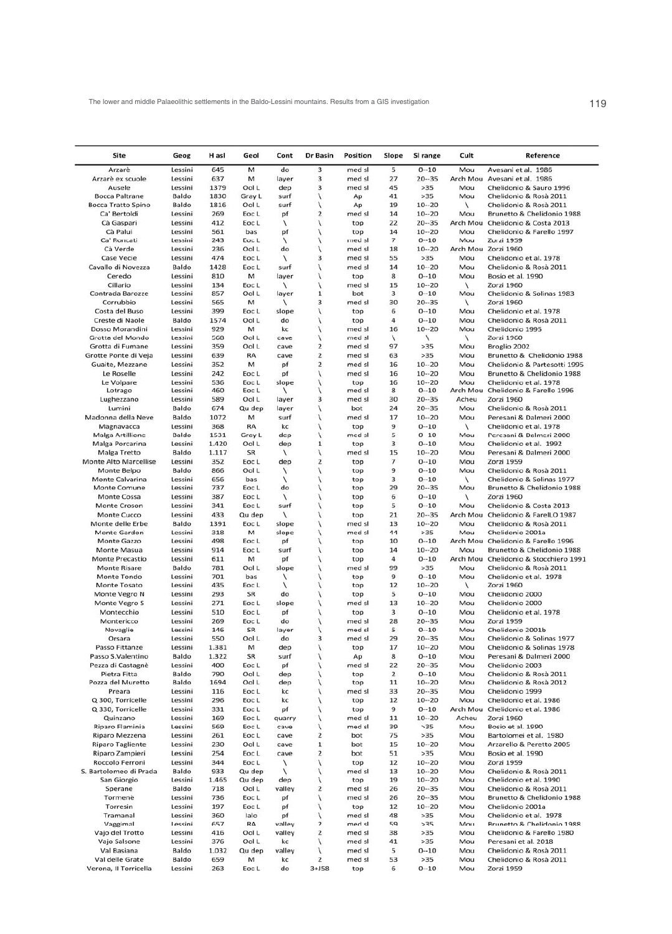| Site                      | Geog    | H asl | Geol   | Cont         | Dr Basin                | <b>Position</b> | Slope          | SI range  | Cult      | Reference                    |
|---------------------------|---------|-------|--------|--------------|-------------------------|-----------------|----------------|-----------|-----------|------------------------------|
| Arzarè                    | Lessini | 645   | М      | do           | 3                       | med sl          | 5              | $0 - 10$  | Mou       | Avesani et al. 1986          |
| Arzarè ex scuole          | Lessini | 637   | м      | layer        | 3                       | med sl          | 27             | $20 - 35$ | Arch Mou  | Avesani et al. 1986          |
| Ausele                    | Lessini | 1379  | Ool L  | dep          | 3                       | med sl          | 45             | >35       | Mou       | Chelidonio & Sauro 1996      |
| <b>Bocca Paltrane</b>     | Baldo   | 1830  | Gray L | surf         | Λ                       | Ap              | 41             | >35       | Mou       | Chelidonio & Rosà 2011       |
| <b>Bocca Tratto Spino</b> | Baldo   | 1816  | Ool L  | surf         | 1                       | Ap              | 19             | $10 - 20$ | N         | Chelidonio & Rosà 2011       |
| Ca' Bertoldi              | Lessini | 269   | Eoc L  | pf           | $\overline{\mathbf{2}}$ | med sl          | 14             | $10 - 20$ | Mou       | Brunetto & Chelidonio 1988   |
| Cà Gaspari                | Lessini | 412   | Eoc L  | 1            | ١                       | top             | 22             | $20 - 35$ | Arch Mou  | Chelidonio & Costa 2013      |
| Cà Palui                  | Lessini | 561   | bas    | pf           | $\lambda$               | top             | 14             | $10 - 20$ | Mou       | Chelidonio & Farello 1997    |
| Ca' Roncati               | Lessini | 243   | Eoc L  | V            | ١                       | med sl          | $\overline{7}$ | $0 - 10$  | Mou       | Zorzi 1959                   |
| Cà Verde                  | Lessini | 236   | Ool L  | do           | ١                       | med sl          | 18             | $10 - 20$ |           | Arch Mou Zorzi 1960          |
| <b>Case Vecie</b>         | Lessini | 474   | Eoc L  | $\lambda$    | 3                       | med sl          | 55             | >35       | Mou       | Chelidonio et al. 1978       |
| Cavallo di Novezza        | Baldo   | 1428  | Eoc L  | surf         | Λ                       | med sl          | 14             | $10 - 20$ | Mou       | Chelidonio & Rosà 2011       |
| Ceredo                    | Lessini | 810   | м      | layer        | 1                       | top             | 8              | $0 - 10$  | Mou       | Bosio et al. 1990            |
| Cillario                  | Lessini | 134   | Eoc L  | Λ            | Λ                       | med sl          | 15             | $10 - 20$ | N         | Zorzi 1960                   |
| Contrada Barozze          | Lessini | 857   | Ool L  | layer        | $\mathbf{1}$            | bot             | 3              | $0 - 10$  | Mou       | Chelidonio & Solinas 1983    |
| Corrubbio                 | Lessini | 565   | М      |              | 3                       | med sl          | 30             | $20 - 35$ | V         | Zorzi 1960                   |
| Costa del Buso            | Lessini | 399   | Eoc L  | slope        | ١                       | top             | 6              | $0 - 10$  | Mou       | Chelidonio et al. 1978       |
| Creste di Naole           | Baldo   | 1574  | Ool L  | do           | ١                       | top             | $\overline{a}$ | $0 - 10$  | Mou       | Chelidonio & Rosà 2011       |
| Dosso Morandini           | Lessini | 929   | М      | kc           | ١                       | med sl          | 16             | $10 - 20$ | Mou       | Chelidonio 1995              |
| Grotta del Mondo          | Lessini | 568   | Ool L  | cave         | Λ                       | med sl          | $\sqrt{}$      | ١         | $\lambda$ | Zorzi 1960                   |
| Grotta di Fumane          | Lessini | 359   | Ool L  | cave         | $\overline{\mathbf{2}}$ | med sl          | 97             | >35       | Mou       | Broglio 2002                 |
| Grotte Ponte di Veja      | Lessini | 639   | RA     | cave         | $\overline{\mathbf{2}}$ | med sl          | 63             | >35       | Mou       | Brunetto & Chelidonio 1988   |
| Guaite, Mezzane           | Lessini | 352   | М      | pf           | $\overline{2}$          | med sl          | 16             | $10 - 20$ | Mou       | Chelidonio & Partesotti 1995 |
| Le Roselle                | Lessini | 242   | Eoc L  | pf           | ١                       | med sl          | 16             | $10 - 20$ | Mou       | Brunetto & Chelidonio 1988   |
| Le Volpare                | Lessini | 536   | Eoc L  | slope        | Λ                       | top             | 16             | $10 - 20$ | Mou       | Chelidonio et al. 1978       |
| Lotrago                   | Lessini | 460   | Eoc L  | N            | ١                       | med sl          | 8              | $0 - 10$  | Arch Mou  | Chelidonio & Farello 1996    |
| Lughezzano                | Lessini | 589   | Ool L  | layer        | 3                       | med sl          | 30             | $20 - 35$ | Acheu     | Zorzi 1960                   |
| Lumini                    | Baldo   | 674   | Qu dep | layer        | ∖                       | bot             | 24             | $20 - 35$ | Mou       | Chelidonio & Rosà 2011       |
| Madonna della Neve        | Baldo   | 1072  | м      | surf         | Λ                       | med sl          | 17             | $10 - 20$ | Mou       | Peresani & Dalmeri 2000      |
| Magnavacca                | Lessini | 368   | RA     | kc           |                         |                 | 9              | $0 - 10$  | $\lambda$ | Chelidonio et al. 1978       |
| Malga Artillione          | Baldo   | 1531  | Gray L |              | 1<br>Λ                  | top<br>med sl   | 5              | $0 - 10$  | Mou       | Peresani & Dalmeri 2000      |
| Malga Porcarina           |         | 1.420 | Ool L  | dep<br>dep   | $\mathbf{1}$            |                 | 3              | $0 - 10$  | Mou       | Chelidonio et al. 1992       |
|                           | Lessini | 1.117 | SR     |              | ١                       | top             | 15             | $10 - 20$ |           |                              |
| Malga Tretto              | Baldo   |       |        | Λ            |                         | med sl          | $\overline{7}$ |           | Mou       | Peresani & Dalmeri 2000      |
| Monte Alto Marcellise     | Lessini | 352   | Eoc L  | dep          | $\overline{2}$          | top             |                | $0 - 10$  | Mou       | <b>Zorzi 1959</b>            |
| Monte Belpo               | Baldo   | 866   | Ool L  | Λ            | ∖                       | top             | 9              | $0 - 10$  | Mou       | Chelidonio & Rosà 2011       |
| Monte Calvarina           | Lessini | 656   | bas    | $\backslash$ | ١                       | top             | 3              | $0 - 10$  | $\lambda$ | Chelidonio & Solinas 1977    |
| Monte Comune              | Lessini | 737   | Eoc L  | do           | ١                       | top             | 29             | $20 - 35$ | Mou       | Brunetto & Chelidonio 1988   |
| Monte Cossa               | Lessini | 387   | Eoc L  | $\lambda$    | ١                       | top             | 6              | $0 - 10$  | ١         | Zorzi 1960                   |
| <b>Monte Croson</b>       | Lessini | 341   | Eoc L  | surf         | $\sqrt{}$               | top             | 5              | $0 - 10$  | Mou       | Chelidonio & Costa 2013      |
| Monte Cucco               | Lessini | 433   | Qu dep | ∖            | Λ                       | top             | 21             | $20 - 35$ | Arch Mou  | Chelidonio & FarelLO 1987    |
| Monte delle Erbe          | Baldo   | 1391  | Eoc L  | slope        | Λ                       | med sl          | 13             | $10 - 20$ | Mou       | Chelidonio & Rosà 2011       |
| Monte Gardon              | Lessini | 318   | м      | slope        | Λ                       | med sl          | 44             | >35       | Mou       | Chelidonio 2001a             |
| Monte Gazzo               | Lessini | 498   | Eoc L  | pf           | Λ                       | top             | 10             | $0 - 10$  | Arch Mou  | Chelidonio & Farello 1996    |
| Monte Masua               | Lessini | 914   | Eoc L  | surf         | ∖                       | top             | 14             | $10 - 20$ | Mou       | Brunetto & Chelidonio 1988   |
| Monte Precastio           | Lessini | 611   | М      | pf           | Λ                       | top             | $\overline{a}$ | $0 - 10$  | Arch Mou  | Chelidonio & Stocchiero 1991 |
| <b>Monte Risare</b>       | Baldo   | 781   | Ool L  | slope        | ١                       | med sl          | 99             | >35       | Mou       | Chelidonio & Rosà 2011       |
| <b>Monte Tondo</b>        | Lessini | 701   | bas    | ١            | ١                       | top             | 9              | $0 - 10$  | Mou       | Chelidonio et al. 1978       |
| Monte Tosato              | Lessini | 435   | Eoc L  | N            | Λ                       | top             | 12             | $10 - 20$ | $\sqrt{}$ | Zorzi 1960                   |
| Monte Vegro N             | Lessini | 293   | SR     | do           | Λ                       | top             | 5              | $0 - 10$  | Mou       | Chelidonio 2000              |
| Monte Vegro S             | Lessini | 271   | Eoc L  | slope        | Λ                       | med sl          | 13             | $10 - 20$ | Mou       | Chelidonio 2000              |
| Montecchio                | Lessini | 510   | Eoc L  | pf           | Λ                       | top             | 3              | $0 - 10$  | Mou       | Chelidonio et al. 1978       |
| Montericco                | Lessini | 269   | Eoc L  | do           | N                       | med sl          | 28             | $20 - 35$ | Mou       | Zorzi 1959                   |
| Novaglie                  | Lessini | 146   | SR     | layer        | Λ                       | med sl          | 5              | $0 - 10$  | Mou       | Chelidonio 2001b             |
| Orsara                    | Lessini | 550   | Ool L  | do           | 3                       | med sl          | 29             | $20 - 35$ | Mou       | Chelidonio & Solinas 1977    |
| Passo Fittanze            | Lessini | 1.381 | М      | dep          | ١                       | top             | 17             | $10 - 20$ | Mou       | Chelidonio & Solinas 1978    |
| Passo S.Valentino         | Baldo   | 1.322 | SR     | surf         |                         | Ap              | 8              | $0 - 10$  | Mou       | Peresani & Dalmeri 2000      |
| Pezza di Castagnè         | Lessini | 400   | Eoc L  | pf           | Λ                       | med sl          | 22             | $20 - 35$ | Mou       | Chelidonio 2003              |
| Pietra Fitta              | Baldo   | 790   | Ool L  | dep          | Λ                       | top             | 2              | $0 - 10$  | Mou       | Chelidonio & Rosà 2011       |
| Pozza del Muretto         | Baldo   | 1694  | Ool L  | dep          | Λ                       | top             | 11             | $10 - 20$ | Mou       | Chelidonio & Rosà 2012       |
| Preara                    | Lessini | 116   | Eoc L  | kc           | $\sqrt{}$               | med sl          | 33             | $20 - 35$ | Mou       | Chelidonio 1999              |
| Q 300, Torricelle         | Lessini | 296   | Eoc L  | kc           | $\sqrt{}$               | top             | 12             | $10 - 20$ | Mou       | Chelidonio et al. 1986       |
| Q 330, Torricelle         | Lessini | 331   | Eoc L  | pf           | Λ                       | top             | 9              | $0 - 10$  | Arch Mou  | Chelidonio et al. 1986       |
| Quinzano                  | Lessini | 169   | Eoc L  | quarry       | Λ                       | med sl          | 11             | $10 - 20$ | Acheu     | Zorzi 1960                   |
| Riparo Flaminia           | Lessini | 569   | Eoc L  | cave         | Λ                       | med sl          | 39             | >35       | Mou       | Bosio et al. 1990            |
| Riparo Mezzena            | Lessini | 261   | Eoc L  | cave         | 2                       | bot             | 75             | >35       | Mou       | Bartolomei et al. 1980       |
| <b>Riparo Tagliente</b>   | Lessini | 230   | Ool L  | cave         | $\mathbf 1$             | bot             | 15             | $10 - 20$ | Mou       | Arzarello & Peretto 2005     |
| Riparo Zampieri           |         |       |        |              | 2                       | bot             | 51             | >35       | Mou       | Bosio et al. 1990            |
|                           | Lessini | 254   | Eoc L  | cave         |                         |                 |                | $10 - 20$ |           |                              |
| Roccolo Ferroni           | Lessini | 344   | Eoc L  | N            | $\lambda$               | top             | 12             |           | Mou       | Zorzi 1959                   |
| S. Bartolomeo di Prada    | Baldo   | 933   | Qu dep | V            | $\sqrt{2}$              | med sl          | 13             | $10 - 20$ | Mou       | Chelidonio & Rosà 2011       |
| San Giorgio               | Lessini | 1.465 | Qu dep | dep          | Λ                       | top             | 19             | $10 - 20$ | Mou       | Chelidonio et al. 1990       |
| Sperane                   | Baldo   | 718   | Ool L  | valley       | 2                       | med sl          | 26             | $20 - 35$ | Mou       | Chelidonio & Rosà 2011       |
| Tormenè                   | Lessini | 736   | Eoc L  | pf           | Λ                       | med sl          | 26             | $20 - 35$ | Mou       | Brunetto & Chelidonio 1988   |
| Torresin                  | Lessini | 197   | Eoc L  | pf           | Λ                       | top             | 12             | $10 - 20$ | Mou       | Chelidonio 2001a             |
| Tramanal                  | Lessini | 360   | lalo   | pf           | ١                       | med sl          | 48             | >35       | Mou       | Chelidonio et al. 1978       |
| Vaggimal                  | Lessini | 657   | RA     | valley       | $\overline{2}$          | med sl          | 59             | >35       | Mou       | Brunetto & Chelidonio 1988   |
| Vajo del Trotto           | Lessini | 416   | Ool L  | valley       | 2                       | med sl          | 38             | >35       | Mou       | Chelidonio & Farello 1980    |
| Vajo Salsone              | Lessini | 376   | Ool L  | kc           | Λ                       | med sl          | 41             | >35       | Mou       | Peresani et al. 2018         |
| Val Basiana               | Baldo   | 1.032 | Qu dep | valley       | Λ                       | med sl          | 5              | $0 - 10$  | Mou       | Chelidonio & Rosà 2011       |
| Val delle Grate           | Baldo   | 659   | М      | kc           | $\overline{\mathbf{2}}$ | med sl          | 53             | >35       | Mou       | Chelidonio & Rosà 2011       |
| Verona, Il Torricella     | Lessini | 263   | Eoc L  | do           | $3 + 158$               | top             | 6              | $0 - 10$  | Mou       | Zorzi 1959                   |
|                           |         |       |        |              |                         |                 |                |           |           |                              |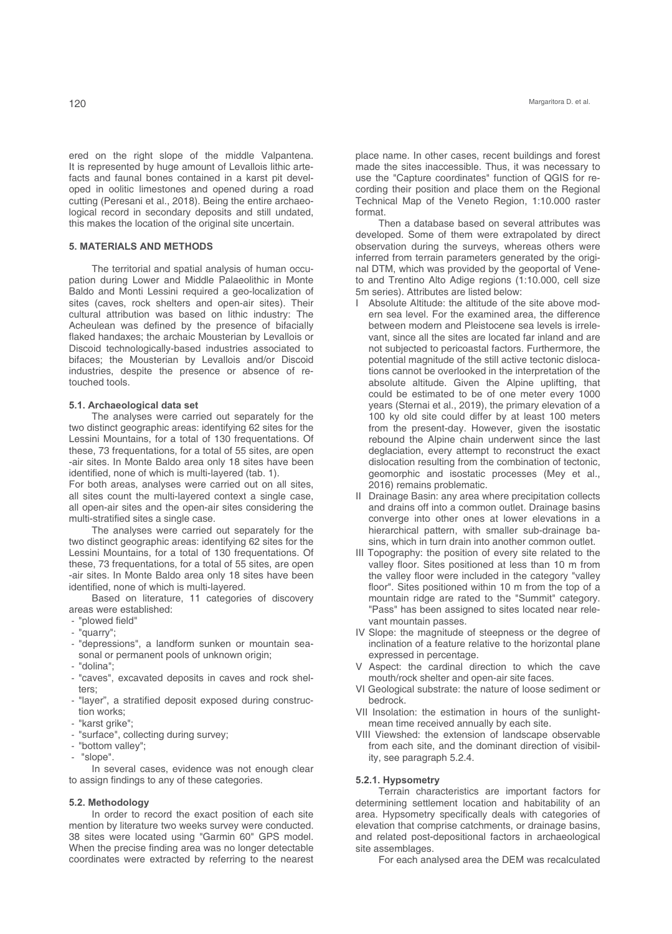ered on the right slope of the middle Valpantena. It is represented by huge amount of Levallois lithic artefacts and faunal bones contained in a karst pit developed in oolitic limestones and opened during a road cutting (Peresani et al., 2018). Being the entire archaeological record in secondary deposits and still undated, this makes the location of the original site uncertain.

### **5. MATERIALS AND METHODS**

The territorial and spatial analysis of human occupation during Lower and Middle Palaeolithic in Monte Baldo and Monti Lessini required a geo-localization of sites (caves, rock shelters and open-air sites). Their cultural attribution was based on lithic industry: The Acheulean was defined by the presence of bifacially flaked handaxes; the archaic Mousterian by Levallois or Discoid technologically-based industries associated to bifaces; the Mousterian by Levallois and/or Discoid industries, despite the presence or absence of retouched tools.

## **5.1. Archaeological data set**

The analyses were carried out separately for the two distinct geographic areas: identifying 62 sites for the Lessini Mountains, for a total of 130 frequentations. Of these, 73 frequentations, for a total of 55 sites, are open -air sites. In Monte Baldo area only 18 sites have been identified, none of which is multi-layered (tab. 1).

For both areas, analyses were carried out on all sites, all sites count the multi-layered context a single case, all open-air sites and the open-air sites considering the multi-stratified sites a single case.

The analyses were carried out separately for the two distinct geographic areas: identifying 62 sites for the Lessini Mountains, for a total of 130 frequentations. Of these, 73 frequentations, for a total of 55 sites, are open -air sites. In Monte Baldo area only 18 sites have been identified, none of which is multi-layered.

Based on literature, 11 categories of discovery areas were established:

- "plowed field"
- "quarry":
- "depressions", a landform sunken or mountain seasonal or permanent pools of unknown origin;
- "dolina";
- "caves", excavated deposits in caves and rock shelters;
- "layer", a stratified deposit exposed during construction works;
- "karst grike";
- "surface", collecting during survey;
- "bottom valley";
- "slope".

In several cases, evidence was not enough clear to assign findings to any of these categories.

## **5.2. Methodology**

In order to record the exact position of each site mention by literature two weeks survey were conducted. 38 sites were located using "Garmin 60" GPS model. When the precise finding area was no longer detectable coordinates were extracted by referring to the nearest

place name. In other cases, recent buildings and forest made the sites inaccessible. Thus, it was necessary to use the "Capture coordinates" function of QGIS for recording their position and place them on the Regional Technical Map of the Veneto Region, 1:10.000 raster format.

Then a database based on several attributes was developed. Some of them were extrapolated by direct observation during the surveys, whereas others were inferred from terrain parameters generated by the original DTM, which was provided by the geoportal of Veneto and Trentino Alto Adige regions (1:10.000, cell size 5m series). Attributes are listed below:

- I Absolute Altitude: the altitude of the site above modern sea level. For the examined area, the difference between modern and Pleistocene sea levels is irrelevant, since all the sites are located far inland and are not subjected to pericoastal factors. Furthermore, the potential magnitude of the still active tectonic dislocations cannot be overlooked in the interpretation of the absolute altitude. Given the Alpine uplifting, that could be estimated to be of one meter every 1000 years (Sternai et al., 2019), the primary elevation of a 100 ky old site could differ by at least 100 meters from the present-day. However, given the isostatic rebound the Alpine chain underwent since the last deglaciation, every attempt to reconstruct the exact dislocation resulting from the combination of tectonic, geomorphic and isostatic processes (Mey et al., 2016) remains problematic.
- II Drainage Basin: any area where precipitation collects and drains off into a common outlet. Drainage basins converge into other ones at lower elevations in a hierarchical pattern, with smaller sub-drainage basins, which in turn drain into another common outlet.
- III Topography: the position of every site related to the valley floor. Sites positioned at less than 10 m from the valley floor were included in the category "valley floor". Sites positioned within 10 m from the top of a mountain ridge are rated to the "Summit" category. "Pass" has been assigned to sites located near relevant mountain passes.
- IV Slope: the magnitude of steepness or the degree of inclination of a feature relative to the horizontal plane expressed in percentage.
- V Aspect: the cardinal direction to which the cave mouth/rock shelter and open-air site faces.
- VI Geological substrate: the nature of loose sediment or bedrock.
- VII Insolation: the estimation in hours of the sunlightmean time received annually by each site.
- VIII Viewshed: the extension of landscape observable from each site, and the dominant direction of visibility, see paragraph 5.2.4.

#### **5.2.1. Hypsometry**

Terrain characteristics are important factors for determining settlement location and habitability of an area. Hypsometry specifically deals with categories of elevation that comprise catchments, or drainage basins, and related post-depositional factors in archaeological site assemblages.

For each analysed area the DEM was recalculated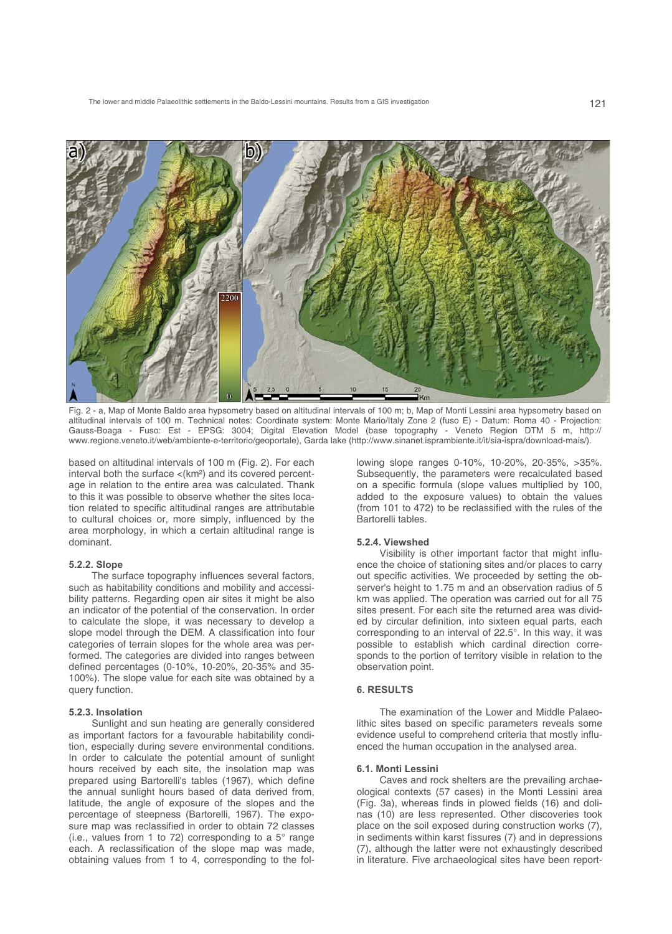

Fig. 2 - a, Map of Monte Baldo area hypsometry based on altitudinal intervals of 100 m; b, Map of Monti Lessini area hypsometry based on altitudinal intervals of 100 m. Technical notes: Coordinate system: Monte Mario/Italy Zone 2 (fuso E) - Datum: Roma 40 - Projection: Gauss-Boaga - Fuso: Est - EPSG: 3004; Digital Elevation Model (base topography - Veneto Region DTM 5 m, http:// www.regione.veneto.it/web/ambiente-e-territorio/geoportale), Garda lake (http://www.sinanet.isprambiente.it/it/sia-ispra/download-mais/).

based on altitudinal intervals of 100 m (Fig. 2). For each interval both the surface <(km²) and its covered percentage in relation to the entire area was calculated. Thank to this it was possible to observe whether the sites location related to specific altitudinal ranges are attributable to cultural choices or, more simply, influenced by the area morphology, in which a certain altitudinal range is dominant.

## **5.2.2. Slope**

The surface topography influences several factors, such as habitability conditions and mobility and accessibility patterns. Regarding open air sites it might be also an indicator of the potential of the conservation. In order to calculate the slope, it was necessary to develop a slope model through the DEM. A classification into four categories of terrain slopes for the whole area was performed. The categories are divided into ranges between defined percentages (0-10%, 10-20%, 20-35% and 35- 100%). The slope value for each site was obtained by a query function.

### **5.2.3. Insolation**

Sunlight and sun heating are generally considered as important factors for a favourable habitability condition, especially during severe environmental conditions. In order to calculate the potential amount of sunlight hours received by each site, the insolation map was prepared using Bartorelli's tables (1967), which define the annual sunlight hours based of data derived from, latitude, the angle of exposure of the slopes and the percentage of steepness (Bartorelli, 1967). The exposure map was reclassified in order to obtain 72 classes (i.e., values from 1 to 72) corresponding to a  $5^\circ$  range each. A reclassification of the slope map was made, obtaining values from 1 to 4, corresponding to the following slope ranges 0-10%, 10-20%, 20-35%, >35%. Subsequently, the parameters were recalculated based on a specific formula (slope values multiplied by 100, added to the exposure values) to obtain the values (from 101 to 472) to be reclassified with the rules of the Bartorelli tables.

## **5.2.4. Viewshed**

Visibility is other important factor that might influence the choice of stationing sites and/or places to carry out specific activities. We proceeded by setting the observer's height to 1.75 m and an observation radius of 5 km was applied. The operation was carried out for all 75 sites present. For each site the returned area was divided by circular definition, into sixteen equal parts, each corresponding to an interval of 22.5°. In this way, it was possible to establish which cardinal direction corresponds to the portion of territory visible in relation to the observation point.

## **6. RESULTS**

The examination of the Lower and Middle Palaeolithic sites based on specific parameters reveals some evidence useful to comprehend criteria that mostly influenced the human occupation in the analysed area.

#### **6.1. Monti Lessini**

Caves and rock shelters are the prevailing archaeological contexts (57 cases) in the Monti Lessini area (Fig. 3a), whereas finds in plowed fields (16) and dolinas (10) are less represented. Other discoveries took place on the soil exposed during construction works (7), in sediments within karst fissures (7) and in depressions (7), although the latter were not exhaustingly described in literature. Five archaeological sites have been report-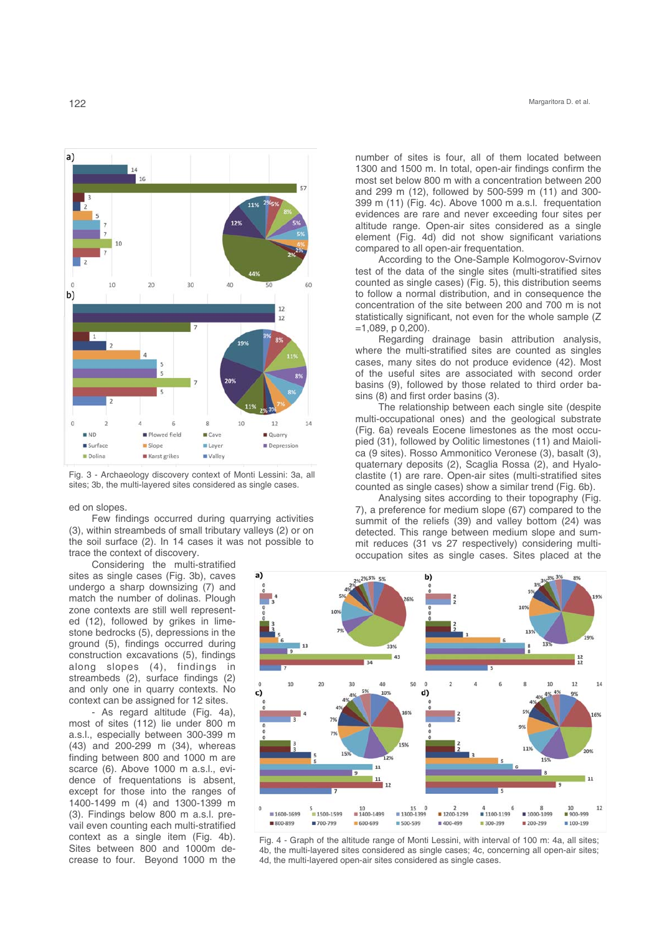

Fig. 3 - Archaeology discovery context of Monti Lessini: 3a, all sites; 3b, the multi-layered sites considered as single cases.

ed on slopes.

Few findings occurred during quarrying activities (3), within streambeds of small tributary valleys (2) or on the soil surface (2). In 14 cases it was not possible to trace the context of discovery.

Considering the multi-stratified sites as single cases (Fig. 3b), caves undergo a sharp downsizing (7) and match the number of dolinas. Plough zone contexts are still well represented (12), followed by grikes in limestone bedrocks (5), depressions in the ground (5), findings occurred during construction excavations (5), findings along slopes (4), findings in streambeds (2), surface findings (2) and only one in quarry contexts. No context can be assigned for 12 sites.

- As regard altitude (Fig. 4a), most of sites (112) lie under 800 m a.s.l., especially between 300-399 m (43) and 200-299 m (34), whereas finding between 800 and 1000 m are scarce (6). Above 1000 m a.s.l., evidence of frequentations is absent, except for those into the ranges of 1400-1499 m (4) and 1300-1399 m (3). Findings below 800 m a.s.l. prevail even counting each multi-stratified context as a single item (Fig. 4b). Sites between 800 and 1000m decrease to four. Beyond 1000 m the number of sites is four, all of them located between 1300 and 1500 m. In total, open-air findings confirm the most set below 800 m with a concentration between 200 and 299 m (12), followed by 500-599 m (11) and 300- 399 m (11) (Fig. 4c). Above 1000 m a.s.l. frequentation evidences are rare and never exceeding four sites per altitude range. Open-air sites considered as a single element (Fig. 4d) did not show significant variations compared to all open-air frequentation.

According to the One-Sample Kolmogorov-Svirnov test of the data of the single sites (multi-stratified sites counted as single cases) (Fig. 5), this distribution seems to follow a normal distribution, and in consequence the concentration of the site between 200 and 700 m is not statistically significant, not even for the whole sample (Z =1,089, p 0,200).

Regarding drainage basin attribution analysis, where the multi-stratified sites are counted as singles cases, many sites do not produce evidence (42). Most of the useful sites are associated with second order basins (9), followed by those related to third order basins (8) and first order basins (3).

The relationship between each single site (despite multi-occupational ones) and the geological substrate (Fig. 6a) reveals Eocene limestones as the most occupied (31), followed by Oolitic limestones (11) and Maiolica (9 sites). Rosso Ammonitico Veronese (3), basalt (3), quaternary deposits (2), Scaglia Rossa (2), and Hyaloclastite (1) are rare. Open-air sites (multi-stratified sites counted as single cases) show a similar trend (Fig. 6b).

Analysing sites according to their topography (Fig. 7), a preference for medium slope (67) compared to the summit of the reliefs (39) and valley bottom (24) was detected. This range between medium slope and summit reduces (31 vs 27 respectively) considering multioccupation sites as single cases. Sites placed at the



Fig. 4 - Graph of the altitude range of Monti Lessini, with interval of 100 m: 4a, all sites; 4b, the multi-layered sites considered as single cases; 4c, concerning all open-air sites; 4d, the multi-layered open-air sites considered as single cases.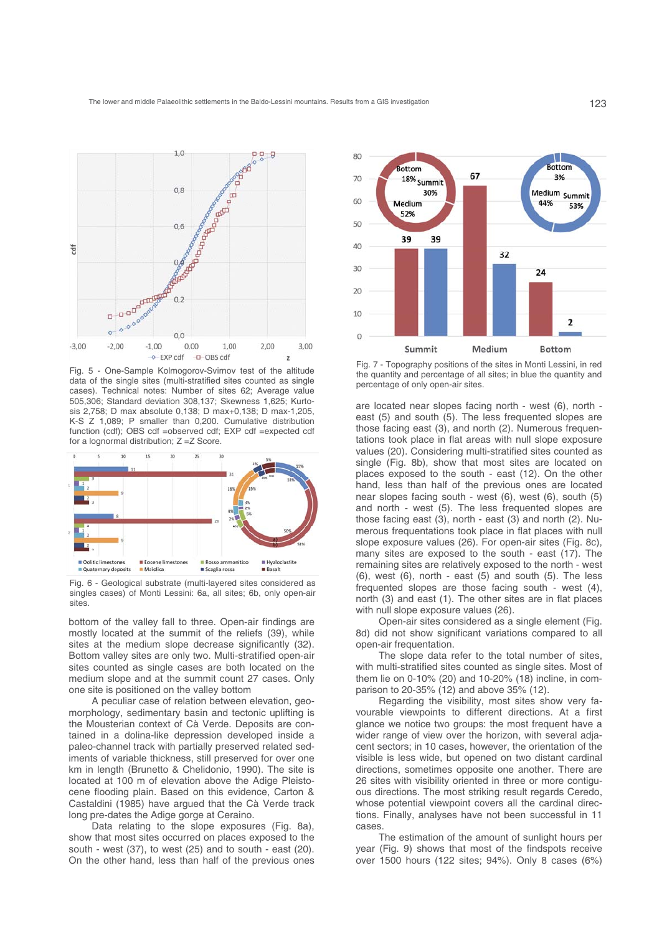

Fig. 5 - One-Sample Kolmogorov-Svirnov test of the altitude data of the single sites (multi-stratified sites counted as single cases). Technical notes: Number of sites 62; Average value 505,306; Standard deviation 308,137; Skewness 1,625; Kurtosis 2,758; D max absolute 0,138; D max+0,138; D max-1,205, K-S Z 1,089; P smaller than 0,200. Cumulative distribution function (cdf); OBS cdf =observed cdf; EXP cdf =expected cdf for a lognormal distribution; Z =Z Score.



Fig. 6 - Geological substrate (multi-layered sites considered as singles cases) of Monti Lessini: 6a, all sites; 6b, only open-air sites.

bottom of the valley fall to three. Open-air findings are mostly located at the summit of the reliefs (39), while sites at the medium slope decrease significantly (32). Bottom valley sites are only two. Multi-stratified open-air sites counted as single cases are both located on the medium slope and at the summit count 27 cases. Only one site is positioned on the valley bottom

A peculiar case of relation between elevation, geomorphology, sedimentary basin and tectonic uplifting is the Mousterian context of Cà Verde. Deposits are contained in a dolina-like depression developed inside a paleo-channel track with partially preserved related sediments of variable thickness, still preserved for over one km in length (Brunetto & Chelidonio, 1990). The site is located at 100 m of elevation above the Adige Pleistocene flooding plain. Based on this evidence, Carton & Castaldini (1985) have argued that the Cà Verde track long pre-dates the Adige gorge at Ceraino.

Data relating to the slope exposures (Fig. 8a), show that most sites occurred on places exposed to the south - west (37), to west (25) and to south - east (20). On the other hand, less than half of the previous ones



Fig. 7 - Topography positions of the sites in Monti Lessini, in red the quantity and percentage of all sites; in blue the quantity and percentage of only open-air sites.

are located near slopes facing north - west (6), north east (5) and south (5). The less frequented slopes are those facing east (3), and north (2). Numerous frequentations took place in flat areas with null slope exposure values (20). Considering multi-stratified sites counted as single (Fig. 8b), show that most sites are located on places exposed to the south - east (12). On the other hand, less than half of the previous ones are located near slopes facing south - west (6), west (6), south (5) and north - west (5). The less frequented slopes are those facing east (3), north - east (3) and north (2). Numerous frequentations took place in flat places with null slope exposure values (26). For open-air sites (Fig. 8c), many sites are exposed to the south - east (17). The remaining sites are relatively exposed to the north - west (6), west (6), north - east (5) and south (5). The less frequented slopes are those facing south - west (4), north (3) and east (1). The other sites are in flat places with null slope exposure values (26).

Open-air sites considered as a single element (Fig. 8d) did not show significant variations compared to all open-air frequentation.

The slope data refer to the total number of sites, with multi-stratified sites counted as single sites. Most of them lie on 0-10% (20) and 10-20% (18) incline, in comparison to 20-35% (12) and above 35% (12).

Regarding the visibility, most sites show very favourable viewpoints to different directions. At a first glance we notice two groups: the most frequent have a wider range of view over the horizon, with several adjacent sectors; in 10 cases, however, the orientation of the visible is less wide, but opened on two distant cardinal directions, sometimes opposite one another. There are 26 sites with visibility oriented in three or more contiguous directions. The most striking result regards Ceredo, whose potential viewpoint covers all the cardinal directions. Finally, analyses have not been successful in 11 cases.

The estimation of the amount of sunlight hours per year (Fig. 9) shows that most of the findspots receive over 1500 hours (122 sites; 94%). Only 8 cases (6%)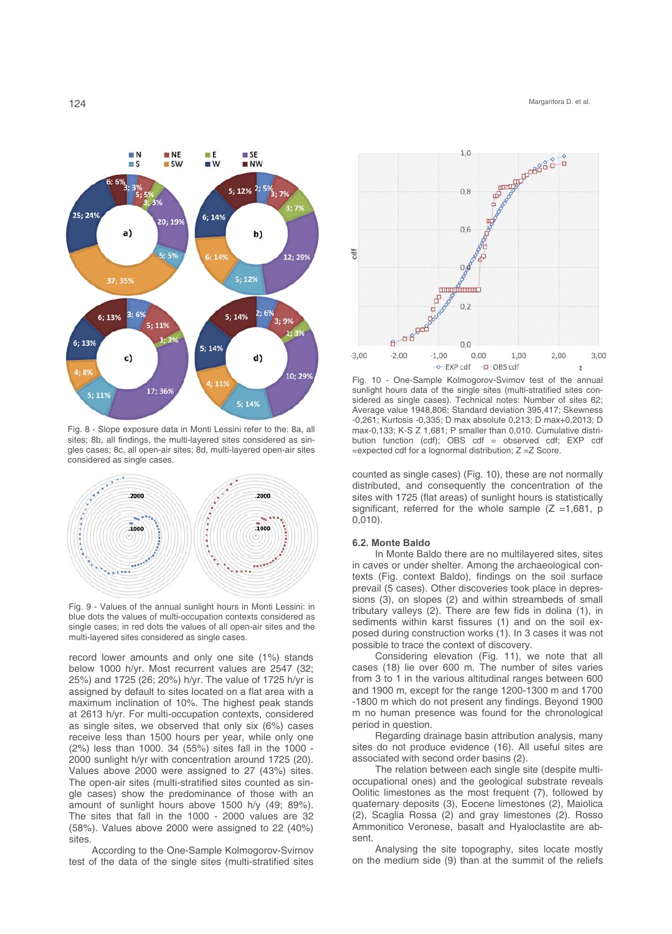

Fig. 8 - Slope exposure data in Monti Lessini refer to the: 8a, all sites; 8b, all findings, the multi-layered sites considered as singles cases; 8c, all open-air sites; 8d, multi-layered open-air sites considered as single cases.



Fig. 9 - Values of the annual sunlight hours in Monti Lessini: in blue dots the values of multi-occupation contexts considered as single cases; in red dots the values of all open-air sites and the multi-layered sites considered as single cases.

record lower amounts and only one site (1%) stands below 1000 h/yr. Most recurrent values are 2547 (32; 25%) and 1725 (26; 20%) h/yr. The value of 1725 h/yr is assigned by default to sites located on a flat area with a maximum inclination of 10%. The highest peak stands at 2613 h/yr. For multi-occupation contexts, considered as single sites, we observed that only six (6%) cases receive less than 1500 hours per year, while only one (2%) less than 1000. 34 (55%) sites fall in the 1000 - 2000 sunlight h/yr with concentration around 1725 (20). Values above 2000 were assigned to 27 (43%) sites. The open-air sites (multi-stratified sites counted as single cases) show the predominance of those with an amount of sunlight hours above 1500 h/y (49; 89%). The sites that fall in the 1000 - 2000 values are 32 (58%). Values above 2000 were assigned to 22 (40%) sites.

According to the One-Sample Kolmogorov-Svirnov test of the data of the single sites (multi-stratified sites



Fig. 10 - One-Sample Kolmogorov-Svirnov test of the annual sunlight hours data of the single sites (multi-stratified sites considered as single cases). Technical notes: Number of sites 62; Average value 1948,806; Standard deviation 395,417; Skewness -0,261; Kurtosis -0,335; D max absolute 0,213; D max+0,2013; D max-0,133; K-S Z 1,681; P smaller than 0,010. Cumulative distribution function (cdf); OBS cdf = observed cdf; EXP cdf =expected cdf for a lognormal distribution; Z =Z Score.

counted as single cases) (Fig. 10), these are not normally distributed, and consequently the concentration of the sites with 1725 (flat areas) of sunlight hours is statistically significant, referred for the whole sample  $(Z = 1,681, p$ 0,010).

## **6.2. Monte Baldo**

In Monte Baldo there are no multilayered sites, sites in caves or under shelter. Among the archaeological contexts (Fig. context Baldo), findings on the soil surface prevail (5 cases). Other discoveries took place in depressions (3), on slopes (2) and within streambeds of small tributary valleys (2). There are few fids in dolina (1), in sediments within karst fissures (1) and on the soil exposed during construction works (1). In 3 cases it was not possible to trace the context of discovery.

Considering elevation (Fig. 11), we note that all cases (18) lie over 600 m. The number of sites varies from 3 to 1 in the various altitudinal ranges between 600 and 1900 m, except for the range 1200-1300 m and 1700 -1800 m which do not present any findings. Beyond 1900 m no human presence was found for the chronological period in question.

Regarding drainage basin attribution analysis, many sites do not produce evidence (16). All useful sites are associated with second order basins (2).

The relation between each single site (despite multioccupational ones) and the geological substrate reveals Oolitic limestones as the most frequent (7), followed by quaternary deposits (3), Eocene limestones (2), Maiolica (2), Scaglia Rossa (2) and gray limestones (2). Rosso Ammonitico Veronese, basalt and Hyaloclastite are absent.

Analysing the site topography, sites locate mostly on the medium side (9) than at the summit of the reliefs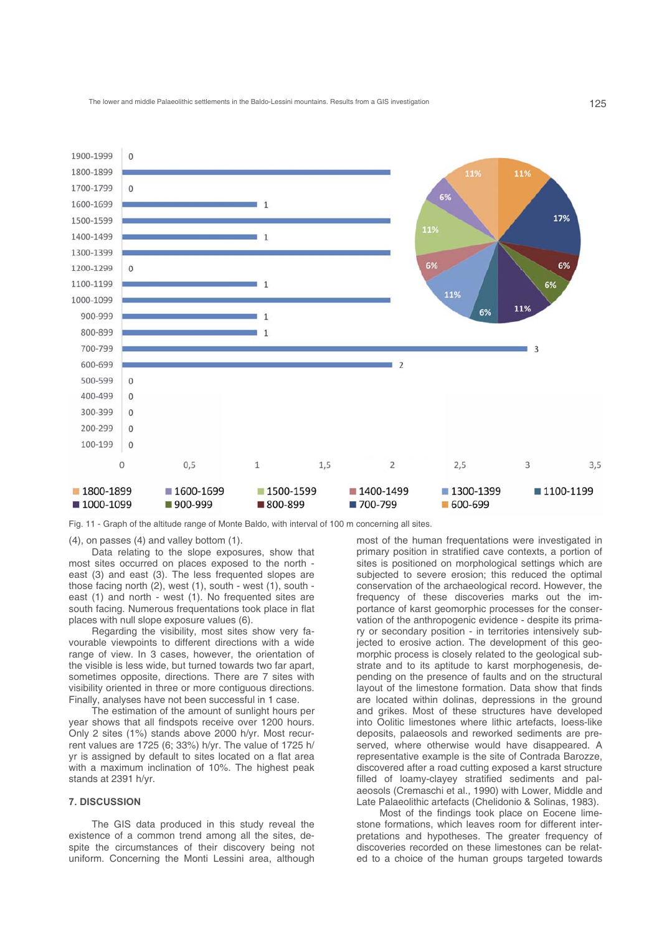

Fig. 11 - Graph of the altitude range of Monte Baldo, with interval of 100 m concerning all sites.

(4), on passes (4) and valley bottom (1).

Data relating to the slope exposures, show that most sites occurred on places exposed to the north east (3) and east (3). The less frequented slopes are those facing north (2), west (1), south - west (1), south east (1) and north - west (1). No frequented sites are south facing. Numerous frequentations took place in flat places with null slope exposure values (6).

Regarding the visibility, most sites show very favourable viewpoints to different directions with a wide range of view. In 3 cases, however, the orientation of the visible is less wide, but turned towards two far apart, sometimes opposite, directions. There are 7 sites with visibility oriented in three or more contiguous directions. Finally, analyses have not been successful in 1 case.

The estimation of the amount of sunlight hours per year shows that all findspots receive over 1200 hours. Only 2 sites (1%) stands above 2000 h/yr. Most recurrent values are 1725 (6; 33%) h/yr. The value of 1725 h/ yr is assigned by default to sites located on a flat area with a maximum inclination of 10%. The highest peak stands at 2391 h/yr.

# **7. DISCUSSION**

The GIS data produced in this study reveal the existence of a common trend among all the sites, despite the circumstances of their discovery being not uniform. Concerning the Monti Lessini area, although

most of the human frequentations were investigated in primary position in stratified cave contexts, a portion of sites is positioned on morphological settings which are subjected to severe erosion; this reduced the optimal conservation of the archaeological record. However, the frequency of these discoveries marks out the importance of karst geomorphic processes for the conservation of the anthropogenic evidence - despite its primary or secondary position - in territories intensively subjected to erosive action. The development of this geomorphic process is closely related to the geological substrate and to its aptitude to karst morphogenesis, depending on the presence of faults and on the structural layout of the limestone formation. Data show that finds are located within dolinas, depressions in the ground and grikes. Most of these structures have developed into Oolitic limestones where lithic artefacts, loess-like deposits, palaeosols and reworked sediments are preserved, where otherwise would have disappeared. A representative example is the site of Contrada Barozze, discovered after a road cutting exposed a karst structure filled of loamy-clayey stratified sediments and palaeosols (Cremaschi et al., 1990) with Lower, Middle and Late Palaeolithic artefacts (Chelidonio & Solinas, 1983).

Most of the findings took place on Eocene limestone formations, which leaves room for different interpretations and hypotheses. The greater frequency of discoveries recorded on these limestones can be related to a choice of the human groups targeted towards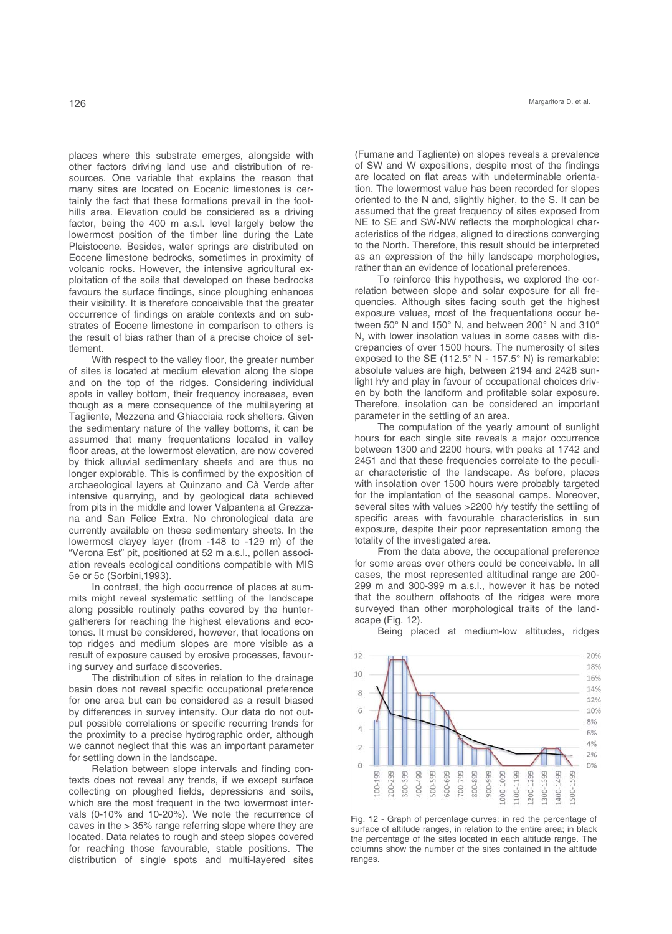places where this substrate emerges, alongside with other factors driving land use and distribution of resources. One variable that explains the reason that many sites are located on Eocenic limestones is certainly the fact that these formations prevail in the foothills area. Elevation could be considered as a driving factor, being the 400 m a.s.l. level largely below the lowermost position of the timber line during the Late Pleistocene. Besides, water springs are distributed on Eocene limestone bedrocks, sometimes in proximity of volcanic rocks. However, the intensive agricultural exploitation of the soils that developed on these bedrocks favours the surface findings, since ploughing enhances their visibility. It is therefore conceivable that the greater occurrence of findings on arable contexts and on substrates of Eocene limestone in comparison to others is the result of bias rather than of a precise choice of settlement.

With respect to the valley floor, the greater number of sites is located at medium elevation along the slope and on the top of the ridges. Considering individual spots in valley bottom, their frequency increases, even though as a mere consequence of the multilayering at Tagliente, Mezzena and Ghiacciaia rock shelters. Given the sedimentary nature of the valley bottoms, it can be assumed that many frequentations located in valley floor areas, at the lowermost elevation, are now covered by thick alluvial sedimentary sheets and are thus no longer explorable. This is confirmed by the exposition of archaeological layers at Quinzano and Cà Verde after intensive quarrying, and by geological data achieved from pits in the middle and lower Valpantena at Grezzana and San Felice Extra. No chronological data are currently available on these sedimentary sheets. In the lowermost clayey layer (from -148 to -129 m) of the "Verona Est" pit, positioned at 52 m a.s.l., pollen association reveals ecological conditions compatible with MIS 5e or 5c (Sorbini,1993).

In contrast, the high occurrence of places at summits might reveal systematic settling of the landscape along possible routinely paths covered by the huntergatherers for reaching the highest elevations and ecotones. It must be considered, however, that locations on top ridges and medium slopes are more visible as a result of exposure caused by erosive processes, favouring survey and surface discoveries.

The distribution of sites in relation to the drainage basin does not reveal specific occupational preference for one area but can be considered as a result biased by differences in survey intensity. Our data do not output possible correlations or specific recurring trends for the proximity to a precise hydrographic order, although we cannot neglect that this was an important parameter for settling down in the landscape.

Relation between slope intervals and finding contexts does not reveal any trends, if we except surface collecting on ploughed fields, depressions and soils, which are the most frequent in the two lowermost intervals (0-10% and 10-20%). We note the recurrence of caves in the > 35% range referring slope where they are located. Data relates to rough and steep slopes covered for reaching those favourable, stable positions. The distribution of single spots and multi-layered sites

(Fumane and Tagliente) on slopes reveals a prevalence of SW and W expositions, despite most of the findings are located on flat areas with undeterminable orientation. The lowermost value has been recorded for slopes oriented to the N and, slightly higher, to the S. It can be assumed that the great frequency of sites exposed from NE to SE and SW-NW reflects the morphological characteristics of the ridges, aligned to directions converging to the North. Therefore, this result should be interpreted as an expression of the hilly landscape morphologies, rather than an evidence of locational preferences.

To reinforce this hypothesis, we explored the correlation between slope and solar exposure for all frequencies. Although sites facing south get the highest exposure values, most of the frequentations occur between 50° N and 150° N, and between 200° N and 310° N, with lower insolation values in some cases with discrepancies of over 1500 hours. The numerosity of sites exposed to the SE (112.5° N - 157.5° N) is remarkable: absolute values are high, between 2194 and 2428 sunlight h/y and play in favour of occupational choices driven by both the landform and profitable solar exposure. Therefore, insolation can be considered an important parameter in the settling of an area.

The computation of the yearly amount of sunlight hours for each single site reveals a major occurrence between 1300 and 2200 hours, with peaks at 1742 and 2451 and that these frequencies correlate to the peculiar characteristic of the landscape. As before, places with insolation over 1500 hours were probably targeted for the implantation of the seasonal camps. Moreover, several sites with values >2200 h/y testify the settling of specific areas with favourable characteristics in sun exposure, despite their poor representation among the totality of the investigated area.

From the data above, the occupational preference for some areas over others could be conceivable. In all cases, the most represented altitudinal range are 200- 299 m and 300-399 m a.s.l., however it has be noted that the southern offshoots of the ridges were more surveyed than other morphological traits of the landscape (Fig. 12).



Being placed at medium-low altitudes, ridges

Fig. 12 - Graph of percentage curves: in red the percentage of surface of altitude ranges, in relation to the entire area; in black the percentage of the sites located in each altitude range. The columns show the number of the sites contained in the altitude ranges.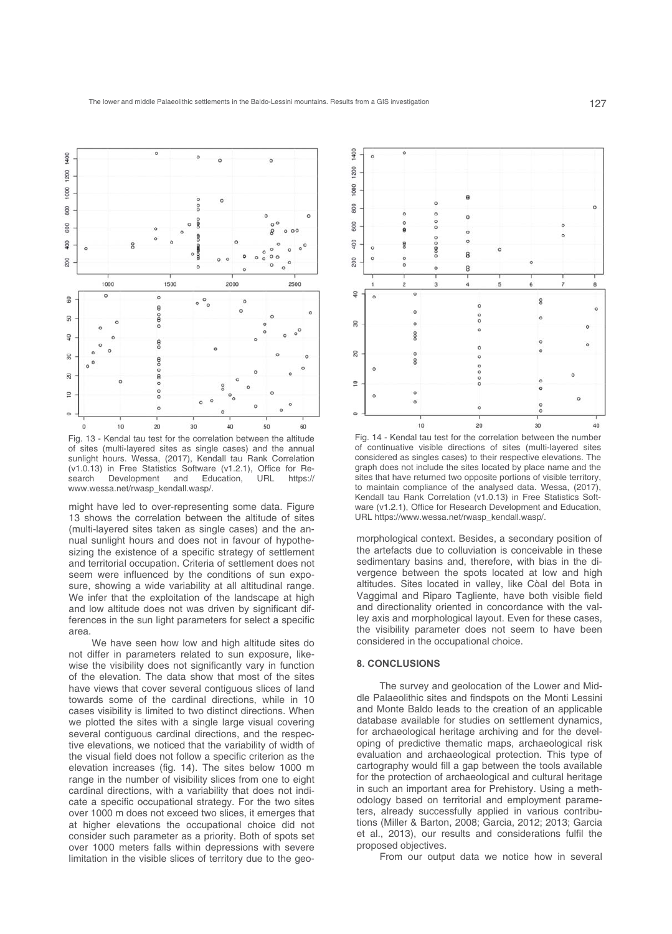

Fig. 13 - Kendal tau test for the correlation between the altitude of sites (multi-layered sites as single cases) and the annual sunlight hours. Wessa, (2017), Kendall tau Rank Correlation (v1.0.13) in Free Statistics Software (v1.2.1), Office for Re-Development and www.wessa.net/rwasp\_kendall.wasp/.

might have led to over-representing some data. Figure 13 shows the correlation between the altitude of sites (multi-layered sites taken as single cases) and the annual sunlight hours and does not in favour of hypothesizing the existence of a specific strategy of settlement and territorial occupation. Criteria of settlement does not seem were influenced by the conditions of sun exposure, showing a wide variability at all altitudinal range. We infer that the exploitation of the landscape at high and low altitude does not was driven by significant differences in the sun light parameters for select a specific area.

We have seen how low and high altitude sites do not differ in parameters related to sun exposure, likewise the visibility does not significantly vary in function of the elevation. The data show that most of the sites have views that cover several contiguous slices of land towards some of the cardinal directions, while in 10 cases visibility is limited to two distinct directions. When we plotted the sites with a single large visual covering several contiguous cardinal directions, and the respective elevations, we noticed that the variability of width of the visual field does not follow a specific criterion as the elevation increases (fig. 14). The sites below 1000 m range in the number of visibility slices from one to eight cardinal directions, with a variability that does not indicate a specific occupational strategy. For the two sites over 1000 m does not exceed two slices, it emerges that at higher elevations the occupational choice did not consider such parameter as a priority. Both of spots set over 1000 meters falls within depressions with severe limitation in the visible slices of territory due to the geo-



Fig. 14 - Kendal tau test for the correlation between the number of continuative visible directions of sites (multi-layered sites considered as singles cases) to their respective elevations. The graph does not include the sites located by place name and the sites that have returned two opposite portions of visible territory, to maintain compliance of the analysed data. Wessa, (2017), Kendall tau Rank Correlation (v1.0.13) in Free Statistics Software (v1.2.1), Office for Research Development and Education, URL https://www.wessa.net/rwasp\_kendall.wasp/.

morphological context. Besides, a secondary position of the artefacts due to colluviation is conceivable in these sedimentary basins and, therefore, with bias in the divergence between the spots located at low and high altitudes. Sites located in valley, like Còal del Bota in Vaggimal and Riparo Tagliente, have both visible field and directionality oriented in concordance with the valley axis and morphological layout. Even for these cases, the visibility parameter does not seem to have been considered in the occupational choice.

## **8. CONCLUSIONS**

The survey and geolocation of the Lower and Middle Palaeolithic sites and findspots on the Monti Lessini and Monte Baldo leads to the creation of an applicable database available for studies on settlement dynamics, for archaeological heritage archiving and for the developing of predictive thematic maps, archaeological risk evaluation and archaeological protection. This type of cartography would fill a gap between the tools available for the protection of archaeological and cultural heritage in such an important area for Prehistory. Using a methodology based on territorial and employment parameters, already successfully applied in various contributions (Miller & Barton, 2008; Garcia, 2012; 2013; Garcia et al., 2013), our results and considerations fulfil the proposed objectives.

From our output data we notice how in several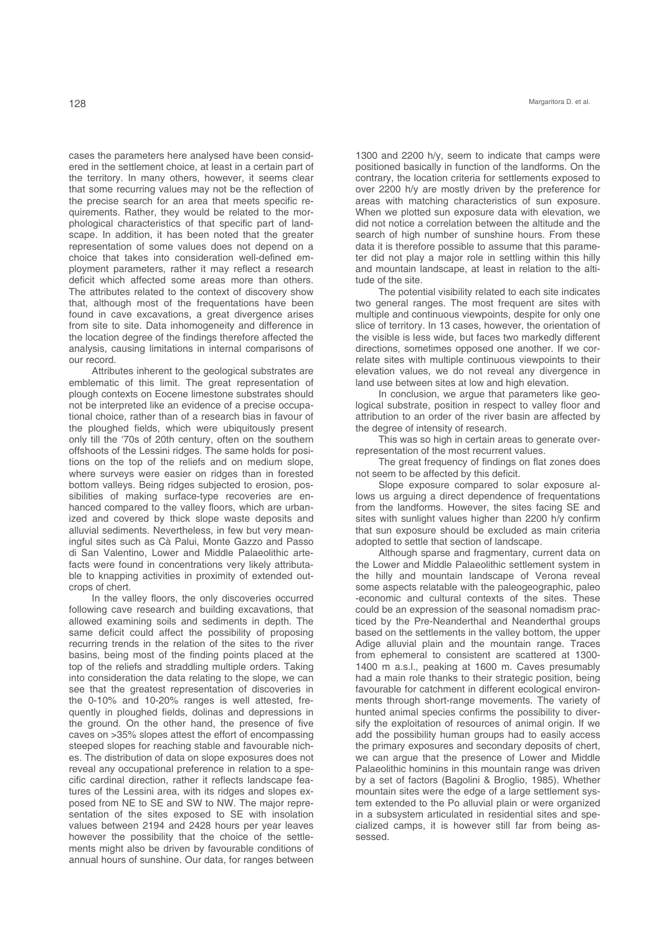cases the parameters here analysed have been considered in the settlement choice, at least in a certain part of the territory. In many others, however, it seems clear that some recurring values may not be the reflection of the precise search for an area that meets specific requirements. Rather, they would be related to the morphological characteristics of that specific part of landscape. In addition, it has been noted that the greater representation of some values does not depend on a choice that takes into consideration well-defined employment parameters, rather it may reflect a research deficit which affected some areas more than others. The attributes related to the context of discovery show that, although most of the frequentations have been found in cave excavations, a great divergence arises from site to site. Data inhomogeneity and difference in the location degree of the findings therefore affected the analysis, causing limitations in internal comparisons of our record.

Attributes inherent to the geological substrates are emblematic of this limit. The great representation of plough contexts on Eocene limestone substrates should not be interpreted like an evidence of a precise occupational choice, rather than of a research bias in favour of the ploughed fields, which were ubiquitously present only till the '70s of 20th century, often on the southern offshoots of the Lessini ridges. The same holds for positions on the top of the reliefs and on medium slope, where surveys were easier on ridges than in forested bottom valleys. Being ridges subjected to erosion, possibilities of making surface-type recoveries are enhanced compared to the valley floors, which are urbanized and covered by thick slope waste deposits and alluvial sediments. Nevertheless, in few but very meaningful sites such as Cà Palui, Monte Gazzo and Passo di San Valentino, Lower and Middle Palaeolithic artefacts were found in concentrations very likely attributable to knapping activities in proximity of extended outcrops of chert.

In the valley floors, the only discoveries occurred following cave research and building excavations, that allowed examining soils and sediments in depth. The same deficit could affect the possibility of proposing recurring trends in the relation of the sites to the river basins, being most of the finding points placed at the top of the reliefs and straddling multiple orders. Taking into consideration the data relating to the slope, we can see that the greatest representation of discoveries in the 0-10% and 10-20% ranges is well attested, frequently in ploughed fields, dolinas and depressions in the ground. On the other hand, the presence of five caves on >35% slopes attest the effort of encompassing steeped slopes for reaching stable and favourable niches. The distribution of data on slope exposures does not reveal any occupational preference in relation to a specific cardinal direction, rather it reflects landscape features of the Lessini area, with its ridges and slopes exposed from NE to SE and SW to NW. The major representation of the sites exposed to SE with insolation values between 2194 and 2428 hours per year leaves however the possibility that the choice of the settlements might also be driven by favourable conditions of annual hours of sunshine. Our data, for ranges between

1300 and 2200 h/y, seem to indicate that camps were positioned basically in function of the landforms. On the contrary, the location criteria for settlements exposed to over 2200 h/y are mostly driven by the preference for areas with matching characteristics of sun exposure. When we plotted sun exposure data with elevation, we did not notice a correlation between the altitude and the search of high number of sunshine hours. From these data it is therefore possible to assume that this parameter did not play a major role in settling within this hilly and mountain landscape, at least in relation to the altitude of the site.

The potential visibility related to each site indicates two general ranges. The most frequent are sites with multiple and continuous viewpoints, despite for only one slice of territory. In 13 cases, however, the orientation of the visible is less wide, but faces two markedly different directions, sometimes opposed one another. If we correlate sites with multiple continuous viewpoints to their elevation values, we do not reveal any divergence in land use between sites at low and high elevation.

In conclusion, we argue that parameters like geological substrate, position in respect to valley floor and attribution to an order of the river basin are affected by the degree of intensity of research.

This was so high in certain areas to generate overrepresentation of the most recurrent values.

The great frequency of findings on flat zones does not seem to be affected by this deficit.

Slope exposure compared to solar exposure allows us arguing a direct dependence of frequentations from the landforms. However, the sites facing SE and sites with sunlight values higher than 2200 h/y confirm that sun exposure should be excluded as main criteria adopted to settle that section of landscape.

Although sparse and fragmentary, current data on the Lower and Middle Palaeolithic settlement system in the hilly and mountain landscape of Verona reveal some aspects relatable with the paleogeographic, paleo -economic and cultural contexts of the sites. These could be an expression of the seasonal nomadism practiced by the Pre-Neanderthal and Neanderthal groups based on the settlements in the valley bottom, the upper Adige alluvial plain and the mountain range. Traces from ephemeral to consistent are scattered at 1300- 1400 m a.s.l., peaking at 1600 m. Caves presumably had a main role thanks to their strategic position, being favourable for catchment in different ecological environments through short-range movements. The variety of hunted animal species confirms the possibility to diversify the exploitation of resources of animal origin. If we add the possibility human groups had to easily access the primary exposures and secondary deposits of chert, we can argue that the presence of Lower and Middle Palaeolithic hominins in this mountain range was driven by a set of factors (Bagolini & Broglio, 1985). Whether mountain sites were the edge of a large settlement system extended to the Po alluvial plain or were organized in a subsystem articulated in residential sites and specialized camps, it is however still far from being assessed.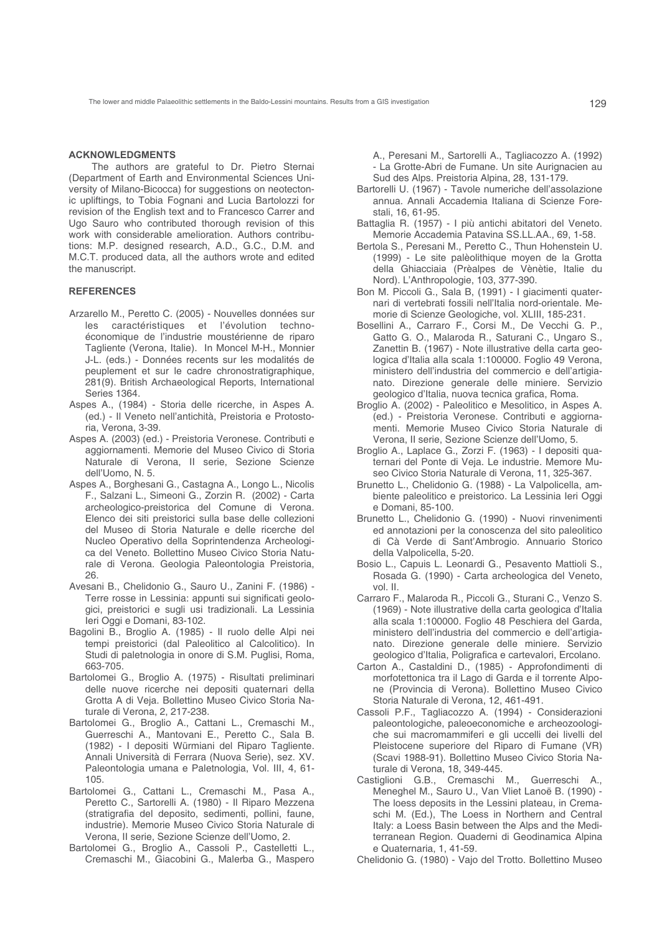#### **ACKNOWLEDGMENTS**

The authors are grateful to Dr. Pietro Sternai (Department of Earth and Environmental Sciences University of Milano-Bicocca) for suggestions on neotectonic upliftings, to Tobia Fognani and Lucia Bartolozzi for revision of the English text and to Francesco Carrer and Ugo Sauro who contributed thorough revision of this work with considerable amelioration. Authors contributions: M.P. designed research, A.D., G.C., D.M. and M.C.T. produced data, all the authors wrote and edited the manuscript.

### **REFERENCES**

- Arzarello M., Peretto C. (2005) Nouvelles données sur les caractéristiques et l'évolution technoéconomique de l'industrie moustérienne de riparo Tagliente (Verona, Italie). In Moncel M-H., Monnier J-L. (eds.) - Données recents sur les modalités de peuplement et sur le cadre chronostratigraphique, 281(9). British Archaeological Reports, International Series 1364.
- Aspes A., (1984) Storia delle ricerche, in Aspes A. (ed.) - Il Veneto nell'antichità, Preistoria e Protostoria, Verona, 3-39.
- Aspes A. (2003) (ed.) Preistoria Veronese. Contributi e aggiornamenti. Memorie del Museo Civico di Storia Naturale di Verona, II serie, Sezione Scienze dell'Uomo, N. 5.
- Aspes A., Borghesani G., Castagna A., Longo L., Nicolis F., Salzani L., Simeoni G., Zorzin R. (2002) - Carta archeologico-preistorica del Comune di Verona. Elenco dei siti preistorici sulla base delle collezioni del Museo di Storia Naturale e delle ricerche del Nucleo Operativo della Soprintendenza Archeologica del Veneto. Bollettino Museo Civico Storia Naturale di Verona. Geologia Paleontologia Preistoria, 26.
- Avesani B., Chelidonio G., Sauro U., Zanini F. (1986) Terre rosse in Lessinia: appunti sui significati geologici, preistorici e sugli usi tradizionali. La Lessinia Ieri Oggi e Domani, 83-102.
- Bagolini B., Broglio A. (1985) Il ruolo delle Alpi nei tempi preistorici (dal Paleolitico al Calcolitico). In Studi di paletnologia in onore di S.M. Puglisi, Roma, 663-705.
- Bartolomei G., Broglio A. (1975) Risultati preliminari delle nuove ricerche nei depositi quaternari della Grotta A di Veja. Bollettino Museo Civico Storia Naturale di Verona, 2, 217-238.
- Bartolomei G., Broglio A., Cattani L., Cremaschi M., Guerreschi A., Mantovani E., Peretto C., Sala B. (1982) - I depositi Würmiani del Riparo Tagliente. Annali Università di Ferrara (Nuova Serie), sez. XV. Paleontologia umana e Paletnologia, Vol. III, 4, 61- 105.
- Bartolomei G., Cattani L., Cremaschi M., Pasa A., Peretto C., Sartorelli A. (1980) - Il Riparo Mezzena (stratigrafia del deposito, sedimenti, pollini, faune, industrie). Memorie Museo Civico Storia Naturale di Verona, II serie, Sezione Scienze dell'Uomo, 2.
- Bartolomei G., Broglio A., Cassoli P., Castelletti L., Cremaschi M., Giacobini G., Malerba G., Maspero

A., Peresani M., Sartorelli A., Tagliacozzo A. (1992) - La Grotte-Abri de Fumane. Un site Aurignacien au Sud des Alps. Preistoria Alpina, 28, 131-179.

- Bartorelli U. (1967) Tavole numeriche dell'assolazione annua. Annali Accademia Italiana di Scienze Forestali, 16, 61-95.
- Battaglia R. (1957) I più antichi abitatori del Veneto. Memorie Accademia Patavina SS.LL.AA., 69, 1-58.
- Bertola S., Peresani M., Peretto C., Thun Hohenstein U. (1999) - Le site palèolithique moyen de la Grotta della Ghiacciaia (Prèalpes de Vènètie, Italie du Nord). L'Anthropologie, 103, 377-390.
- Bon M. Piccoli G., Sala B, (1991) I giacimenti quaternari di vertebrati fossili nell'Italia nord-orientale. Memorie di Scienze Geologiche, vol. XLIII, 185-231.
- Bosellini A., Carraro F., Corsi M., De Vecchi G. P., Gatto G. O., Malaroda R., Saturani C., Ungaro S., Zanettin B. (1967) - Note illustrative della carta geologica d'Italia alla scala 1:100000. Foglio 49 Verona, ministero dell'industria del commercio e dell'artigianato. Direzione generale delle miniere. Servizio geologico d'Italia, nuova tecnica grafica, Roma.
- Broglio A. (2002) Paleolitico e Mesolitico, in Aspes A. (ed.) - Preistoria Veronese. Contributi e aggiornamenti. Memorie Museo Civico Storia Naturale di Verona, II serie, Sezione Scienze dell'Uomo, 5.
- Broglio A., Laplace G., Zorzi F. (1963) I depositi quaternari del Ponte di Veja. Le industrie. Memore Museo Civico Storia Naturale di Verona, 11, 325-367.
- Brunetto L., Chelidonio G. (1988) La Valpolicella, ambiente paleolitico e preistorico. La Lessinia Ieri Oggi e Domani, 85-100.
- Brunetto L., Chelidonio G. (1990) Nuovi rinvenimenti ed annotazioni per la conoscenza del sito paleolitico di Cà Verde di Sant'Ambrogio. Annuario Storico della Valpolicella, 5-20.
- Bosio L., Capuis L. Leonardi G., Pesavento Mattioli S., Rosada G. (1990) - Carta archeologica del Veneto, vol. II.
- Carraro F., Malaroda R., Piccoli G., Sturani C., Venzo S. (1969) - Note illustrative della carta geologica d'Italia alla scala 1:100000. Foglio 48 Peschiera del Garda, ministero dell'industria del commercio e dell'artigianato. Direzione generale delle miniere. Servizio geologico d'Italia, Poligrafica e cartevalori, Ercolano.
- Carton A., Castaldini D., (1985) Approfondimenti di morfotettonica tra il Lago di Garda e il torrente Alpone (Provincia di Verona). Bollettino Museo Civico Storia Naturale di Verona, 12, 461-491.
- Cassoli P.F., Tagliacozzo A. (1994) Considerazioni paleontologiche, paleoeconomiche e archeozoologiche sui macromammiferi e gli uccelli dei livelli del Pleistocene superiore del Riparo di Fumane (VR) (Scavi 1988-91). Bollettino Museo Civico Storia Naturale di Verona, 18, 349-445.
- Castiglioni G.B., Cremaschi M., Guerreschi A., Meneghel M., Sauro U., Van Vliet Lanoë B. (1990) - The loess deposits in the Lessini plateau, in Cremaschi M. (Ed.), The Loess in Northern and Central Italy: a Loess Basin between the Alps and the Mediterranean Region. Quaderni di Geodinamica Alpina e Quaternaria, 1, 41-59.
- Chelidonio G. (1980) Vajo del Trotto. Bollettino Museo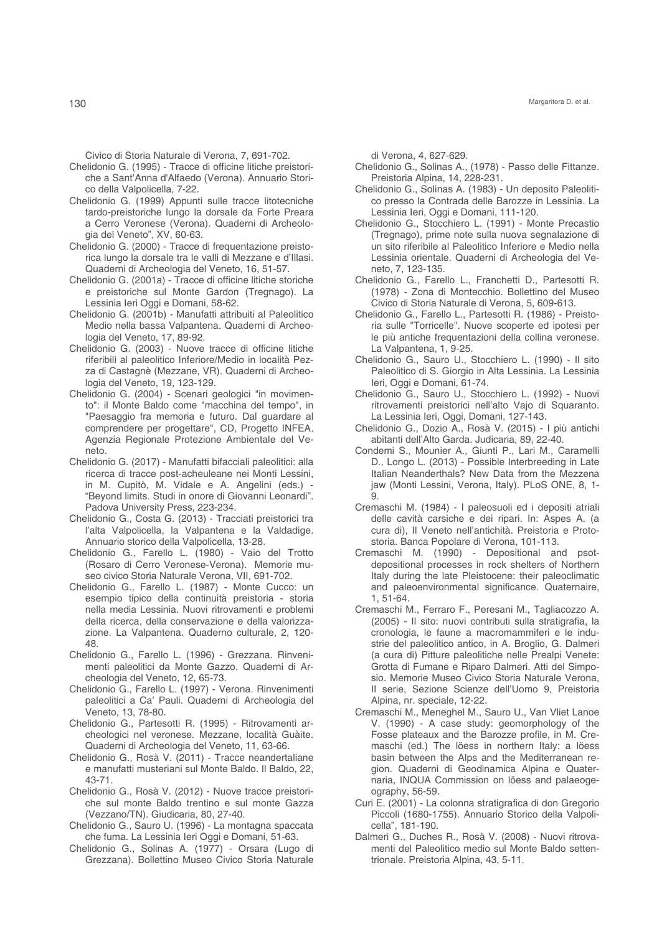Civico di Storia Naturale di Verona, 7, 691-702.

- Chelidonio G. (1995) Tracce di officine litiche preistoriche a Sant'Anna d'Alfaedo (Verona). Annuario Storico della Valpolicella, 7-22.
- Chelidonio G. (1999) Appunti sulle tracce litotecniche tardo-preistoriche lungo la dorsale da Forte Preara a Cerro Veronese (Verona). Quaderni di Archeologia del Veneto", XV, 60-63.
- Chelidonio G. (2000) Tracce di frequentazione preistorica lungo la dorsale tra le valli di Mezzane e d'Illasi. Quaderni di Archeologia del Veneto, 16, 51-57.
- Chelidonio G. (2001a) Tracce di officine litiche storiche e preistoriche sul Monte Gardon (Tregnago). La Lessinia Ieri Oggi e Domani, 58-62.
- Chelidonio G. (2001b) Manufatti attribuiti al Paleolitico Medio nella bassa Valpantena. Quaderni di Archeologia del Veneto, 17, 89-92.
- Chelidonio G. (2003) Nuove tracce di officine litiche riferibili al paleolitico Inferiore/Medio in località Pezza di Castagnè (Mezzane, VR). Quaderni di Archeologia del Veneto, 19, 123-129.
- Chelidonio G. (2004) Scenari geologici "in movimento": il Monte Baldo come "macchina del tempo", in "Paesaggio fra memoria e futuro. Dal guardare al comprendere per progettare", CD, Progetto INFEA. Agenzia Regionale Protezione Ambientale del Veneto.
- Chelidonio G. (2017) Manufatti bifacciali paleolitici: alla ricerca di tracce post-acheuleane nei Monti Lessini, in M. Cupitò, M. Vidale e A. Angelini (eds.) - "Beyond limits. Studi in onore di Giovanni Leonardi". Padova University Press, 223-234.
- Chelidonio G., Costa G. (2013) Tracciati preistorici tra l'alta Valpolicella, la Valpantena e la Valdadige. Annuario storico della Valpolicella, 13-28.
- Chelidonio G., Farello L. (1980) Vaio del Trotto (Rosaro di Cerro Veronese-Verona). Memorie museo civico Storia Naturale Verona, VII, 691-702.
- Chelidonio G., Farello L. (1987) Monte Cucco: un esempio tipico della continuità preistoria - storia nella media Lessinia. Nuovi ritrovamenti e problemi della ricerca, della conservazione e della valorizzazione. La Valpantena. Quaderno culturale, 2, 120- 48.
- Chelidonio G., Farello L. (1996) Grezzana. Rinvenimenti paleolitici da Monte Gazzo. Quaderni di Archeologia del Veneto, 12, 65-73.
- Chelidonio G., Farello L. (1997) Verona. Rinvenimenti paleolitici a Ca' Pauli. Quaderni di Archeologia del Veneto, 13, 78-80.
- Chelidonio G., Partesotti R. (1995) Ritrovamenti archeologici nel veronese. Mezzane, località Guàite. Quaderni di Archeologia del Veneto, 11, 63-66.
- Chelidonio G., Rosà V. (2011) Tracce neandertaliane e manufatti musteriani sul Monte Baldo. Il Baldo, 22, 43-71.
- Chelidonio G., Rosà V. (2012) Nuove tracce preistoriche sul monte Baldo trentino e sul monte Gazza (Vezzano/TN). Giudicaria, 80, 27-40.
- Chelidonio G., Sauro U. (1996) La montagna spaccata che fuma. La Lessinia Ieri Oggi e Domani, 51-63.
- Chelidonio G., Solinas A. (1977) Orsara (Lugo di Grezzana). Bollettino Museo Civico Storia Naturale

di Verona, 4, 627-629.

- Chelidonio G., Solinas A., (1978) Passo delle Fittanze. Preistoria Alpina, 14, 228-231.
- Chelidonio G., Solinas A. (1983) Un deposito Paleolitico presso la Contrada delle Barozze in Lessinia. La Lessinia Ieri, Oggi e Domani, 111-120.
- Chelidonio G., Stocchiero L. (1991) Monte Precastio (Tregnago), prime note sulla nuova segnalazione di un sito riferibile al Paleolitico Inferiore e Medio nella Lessinia orientale. Quaderni di Archeologia del Veneto, 7, 123-135.
- Chelidonio G., Farello L., Franchetti D., Partesotti R. (1978) - Zona di Montecchio. Bollettino del Museo Civico di Storia Naturale di Verona, 5, 609-613.
- Chelidonio G., Farello L., Partesotti R. (1986) Preistoria sulle "Torricelle". Nuove scoperte ed ipotesi per le più antiche frequentazioni della collina veronese. La Valpantena, 1, 9-25.
- Chelidonio G., Sauro U., Stocchiero L. (1990) Il sito Paleolitico di S. Giorgio in Alta Lessinia. La Lessinia Ieri, Oggi e Domani, 61-74.
- Chelidonio G., Sauro U., Stocchiero L. (1992) Nuovi ritrovamenti preistorici nell'alto Vajo di Squaranto. La Lessinia Ieri, Oggi, Domani, 127-143.
- Chelidonio G., Dozio A., Rosà V. (2015) I più antichi abitanti dell'Alto Garda. Judicaria, 89, 22-40.
- Condemi S., Mounier A., Giunti P., Lari M., Caramelli D., Longo L. (2013) - Possible Interbreeding in Late Italian Neanderthals? New Data from the Mezzena jaw (Monti Lessini, Verona, Italy). PLoS ONE, 8, 1- 9.
- Cremaschi M. (1984) I paleosuoli ed i depositi atriali delle cavità carsiche e dei ripari. In: Aspes A. (a cura di), Il Veneto nell'antichità. Preistoria e Protostoria. Banca Popolare di Verona, 101-113.
- Cremaschi M. (1990) Depositional and psotdepositional processes in rock shelters of Northern Italy during the late Pleistocene: their paleoclimatic and paleoenvironmental significance. Quaternaire, 1, 51-64.
- Cremaschi M., Ferraro F., Peresani M., Tagliacozzo A. (2005) - Il sito: nuovi contributi sulla stratigrafia, la cronologia, le faune a macromammiferi e le industrie del paleolitico antico, in A. Broglio, G. Dalmeri (a cura di) Pitture paleolitiche nelle Prealpi Venete: Grotta di Fumane e Riparo Dalmeri. Atti del Simposio. Memorie Museo Civico Storia Naturale Verona, II serie, Sezione Scienze dell'Uomo 9, Preistoria Alpina, nr. speciale, 12-22.
- Cremaschi M., Meneghel M., Sauro U., Van Vliet Lanoe V. (1990) - A case study: geomorphology of the Fosse plateaux and the Barozze profile, in M. Cremaschi (ed.) The löess in northern Italy: a löess basin between the Alps and the Mediterranean region. Quaderni di Geodinamica Alpina e Quaternaria, INQUA Commission on löess and palaeogeography, 56-59.
- Curi E. (2001) La colonna stratigrafica di don Gregorio Piccoli (1680-1755). Annuario Storico della Valpolicella", 181-190.
- Dalmeri G., Duches R., Rosà V. (2008) Nuovi ritrovamenti del Paleolitico medio sul Monte Baldo settentrionale. Preistoria Alpina, 43, 5-11.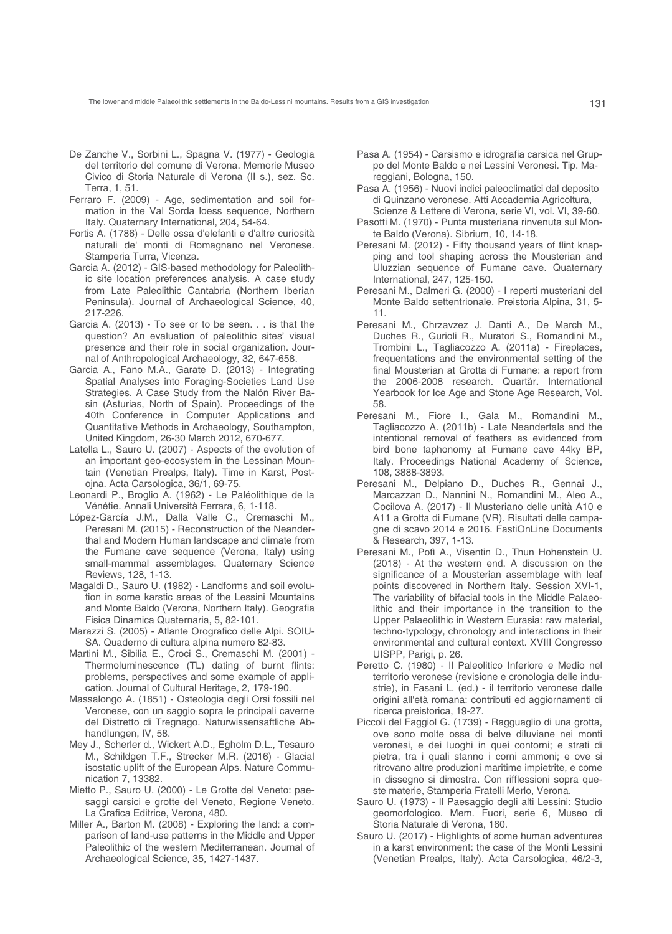- De Zanche V., Sorbini L., Spagna V. (1977) Geologia del territorio del comune di Verona. Memorie Museo Civico di Storia Naturale di Verona (II s.), sez. Sc. Terra, 1, 51.
- Ferraro F. (2009) Age, sedimentation and soil formation in the Val Sorda loess sequence, Northern Italy. Quaternary International, 204, 54-64.
- Fortis A. (1786) Delle ossa d'elefanti e d'altre curiosità naturali de' monti di Romagnano nel Veronese. Stamperia Turra, Vicenza.
- Garcia A. (2012) GIS-based methodology for Paleolithic site location preferences analysis. A case study from Late Paleolithic Cantabria (Northern Iberian Peninsula). Journal of Archaeological Science, 40, 217-226.
- Garcia A. (2013) To see or to be seen. . . is that the question? An evaluation of paleolithic sites' visual presence and their role in social organization. Journal of Anthropological Archaeology, 32, 647-658.
- Garcia A., Fano M.A., Garate D. (2013) Integrating Spatial Analyses into Foraging-Societies Land Use Strategies. A Case Study from the Nalón River Basin (Asturias, North of Spain). Proceedings of the 40th Conference in Computer Applications and Quantitative Methods in Archaeology, Southampton, United Kingdom, 26-30 March 2012, 670-677.
- Latella L., Sauro U. (2007) Aspects of the evolution of an important geo-ecosystem in the Lessinan Mountain (Venetian Prealps, Italy). Time in Karst, Postojna. Acta Carsologica, 36/1, 69-75.
- Leonardi P., Broglio A. (1962) Le Paléolithique de la Vénétie. Annali Università Ferrara, 6, 1-118.
- López-García J.M., Dalla Valle C., Cremaschi M., Peresani M. (2015) - Reconstruction of the Neanderthal and Modern Human landscape and climate from the Fumane cave sequence (Verona, Italy) using small-mammal assemblages. Quaternary Science Reviews, 128, 1-13.
- Magaldi D., Sauro U. (1982) Landforms and soil evolution in some karstic areas of the Lessini Mountains and Monte Baldo (Verona, Northern Italy). Geografia Fisica Dinamica Quaternaria, 5, 82-101.
- Marazzi S. (2005) Atlante Orografico delle Alpi. SOIU-SA. Quaderno di cultura alpina numero 82-83.
- Martini M., Sibilia E., Croci S., Cremaschi M. (2001) Thermoluminescence (TL) dating of burnt flints: problems, perspectives and some example of application. Journal of Cultural Heritage, 2, 179-190.
- Massalongo A. (1851) Osteologia degli Orsi fossili nel Veronese, con un saggio sopra le principali caverne del Distretto di Tregnago. Naturwissensaftliche Abhandlungen, IV, 58.
- Mey J., Scherler d., Wickert A.D., Egholm D.L., Tesauro M., Schildgen T.F., Strecker M.R. (2016) - Glacial isostatic uplift of the European Alps. Nature Communication 7, 13382.
- Mietto P., Sauro U. (2000) Le Grotte del Veneto: paesaggi carsici e grotte del Veneto, Regione Veneto. La Grafica Editrice, Verona, 480.
- Miller A., Barton M. (2008) Exploring the land: a comparison of land-use patterns in the Middle and Upper Paleolithic of the western Mediterranean. Journal of Archaeological Science, 35, 1427-1437.
- Pasa A. (1954) Carsismo e idrografia carsica nel Gruppo del Monte Baldo e nei Lessini Veronesi. Tip. Mareggiani, Bologna, 150.
- Pasa A. (1956) Nuovi indici paleoclimatici dal deposito di Quinzano veronese. Atti Accademia Agricoltura, Scienze & Lettere di Verona, serie VI, vol. VI, 39-60.
- Pasotti M. (1970) Punta musteriana rinvenuta sul Monte Baldo (Verona). Sibrium, 10, 14-18.
- Peresani M. (2012) Fifty thousand years of flint knapping and tool shaping across the Mousterian and Uluzzian sequence of Fumane cave. Quaternary International, 247, 125-150.
- Peresani M., Dalmeri G. (2000) I reperti musteriani del Monte Baldo settentrionale. Preistoria Alpina, 31, 5- 11.
- Peresani M., Chrzavzez J. Danti A., De March M., Duches R., Gurioli R., Muratori S., Romandini M., Trombini L., Tagliacozzo A. (2011a) - Fireplaces, frequentations and the environmental setting of the final Mousterian at Grotta di Fumane: a report from the 2006-2008 research. Quartär**.** International Yearbook for Ice Age and Stone Age Research, Vol. 58.
- Peresani M., Fiore I., Gala M., Romandini M., Tagliacozzo A. (2011b) - Late Neandertals and the intentional removal of feathers as evidenced from bird bone taphonomy at Fumane cave 44ky BP, Italy. Proceedings National Academy of Science, 108, 3888-3893.
- Peresani M., Delpiano D., Duches R., Gennai J., Marcazzan D., Nannini N., Romandini M., Aleo A., Cocilova A. (2017) - Il Musteriano delle unità A10 e A11 a Grotta di Fumane (VR). Risultati delle campagne di scavo 2014 e 2016. FastiOnLine Documents & Research, 397, 1-13.
- Peresani M., Potì A., Visentin D., Thun Hohenstein U. (2018) - At the western end. A discussion on the significance of a Mousterian assemblage with leaf points discovered in Northern Italy. Session XVI-1, The variability of bifacial tools in the Middle Palaeolithic and their importance in the transition to the Upper Palaeolithic in Western Eurasia: raw material, techno-typology, chronology and interactions in their environmental and cultural context. XVIII Congresso UISPP, Parigi, p. 26.
- Peretto C. (1980) Il Paleolitico Inferiore e Medio nel territorio veronese (revisione e cronologia delle industrie), in Fasani L. (ed.) - il territorio veronese dalle origini all'età romana: contributi ed aggiornamenti di ricerca preistorica, 19-27.
- Piccoli del Faggiol G. (1739) Ragguaglio di una grotta, ove sono molte ossa di belve diluviane nei monti veronesi, e dei luoghi in quei contorni; e strati di pietra, tra i quali stanno i corni ammoni; e ove si ritrovano altre produzioni maritime impietrite, e come in dissegno si dimostra. Con rifflessioni sopra queste materie, Stamperia Fratelli Merlo, Verona.
- Sauro U. (1973) Il Paesaggio degli alti Lessini: Studio geomorfologico. Mem. Fuori, serie 6, Museo di Storia Naturale di Verona, 160.
- Sauro U. (2017) Highlights of some human adventures in a karst environment: the case of the Monti Lessini (Venetian Prealps, Italy). Acta Carsologica, 46/2-3,